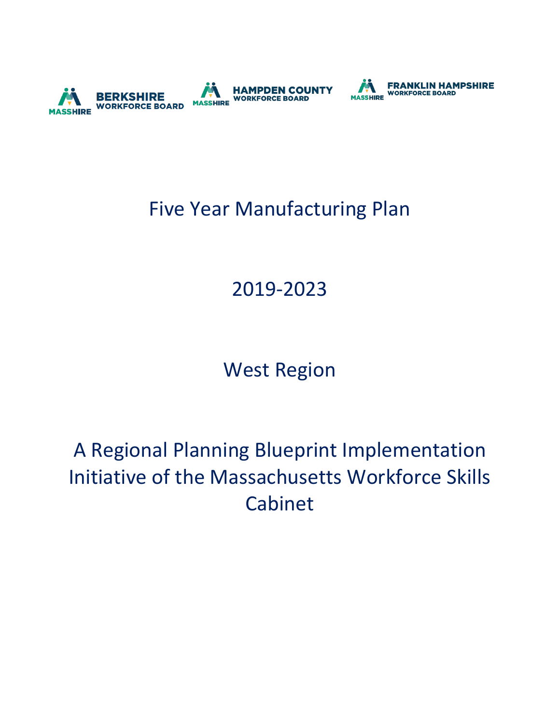



## Five Year Manufacturing Plan

# 2019-2023

## West Region

# A Regional Planning Blueprint Implementation Initiative of the Massachusetts Workforce Skills Cabinet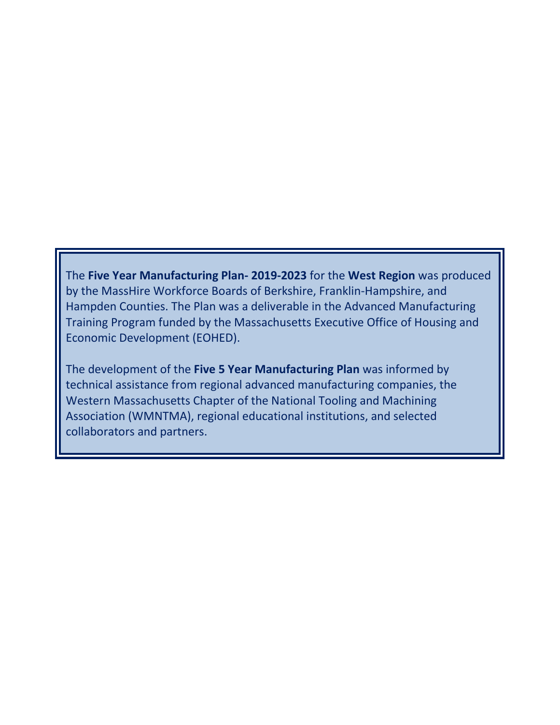The **Five Year Manufacturing Plan- 2019-2023** for the **West Region** was produced by the MassHire Workforce Boards of Berkshire, Franklin-Hampshire, and Hampden Counties. The Plan was a deliverable in the Advanced Manufacturing Training Program funded by the Massachusetts Executive Office of Housing and Economic Development (EOHED).

The development of the **Five 5 Year Manufacturing Plan** was informed by technical assistance from regional advanced manufacturing companies, the Western Massachusetts Chapter of the National Tooling and Machining Association (WMNTMA), regional educational institutions, and selected collaborators and partners.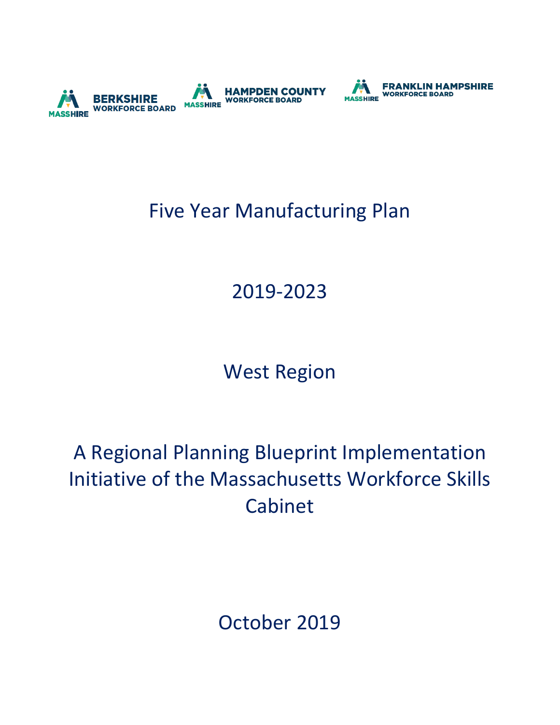



## Five Year Manufacturing Plan

# 2019-2023

# West Region

# A Regional Planning Blueprint Implementation Initiative of the Massachusetts Workforce Skills Cabinet

October 2019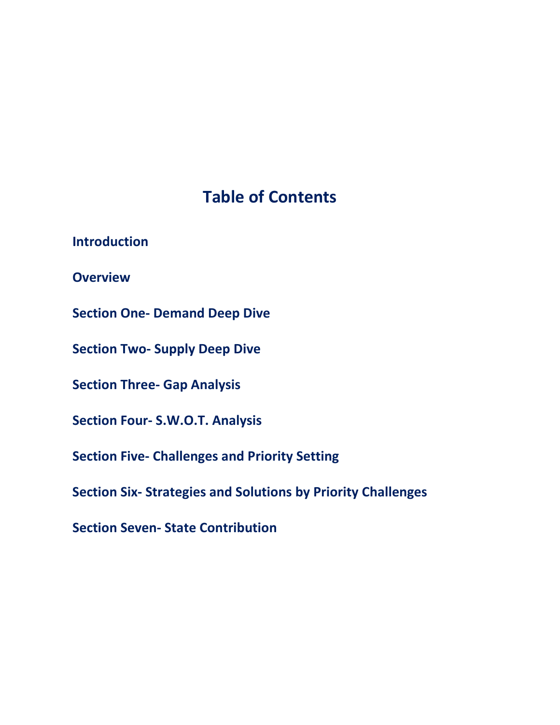## **Table of Contents**

**Introduction**

**Overview** 

**Section One- Demand Deep Dive** 

**Section Two- Supply Deep Dive** 

**Section Three- Gap Analysis** 

**Section Four- S.W.O.T. Analysis** 

**Section Five- Challenges and Priority Setting** 

**Section Six- Strategies and Solutions by Priority Challenges** 

**Section Seven- State Contribution**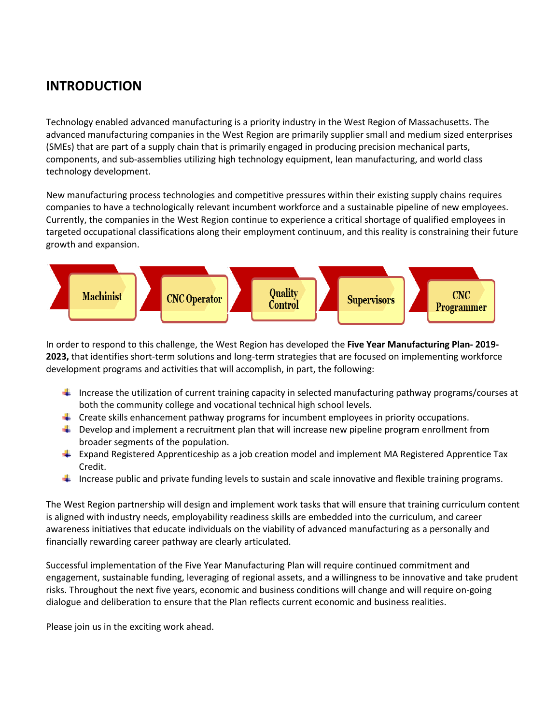#### **INTRODUCTION**

Technology enabled advanced manufacturing is a priority industry in the West Region of Massachusetts. The advanced manufacturing companies in the West Region are primarily supplier small and medium sized enterprises (SMEs) that are part of a supply chain that is primarily engaged in producing precision mechanical parts, components, and sub-assemblies utilizing high technology equipment, lean manufacturing, and world class technology development.

New manufacturing process technologies and competitive pressures within their existing supply chains requires companies to have a technologically relevant incumbent workforce and a sustainable pipeline of new employees. Currently, the companies in the West Region continue to experience a critical shortage of qualified employees in targeted occupational classifications along their employment continuum, and this reality is constraining their future growth and expansion.



In order to respond to this challenge, the West Region has developed the **Five Year Manufacturing Plan- 2019- 2023,** that identifies short-term solutions and long-term strategies that are focused on implementing workforce development programs and activities that will accomplish, in part, the following:

- Increase the utilization of current training capacity in selected manufacturing pathway programs/courses at both the community college and vocational technical high school levels.
- $\ddot{\phantom{1}}$  Create skills enhancement pathway programs for incumbent employees in priority occupations.
- **↓** Develop and implement a recruitment plan that will increase new pipeline program enrollment from broader segments of the population.
- **Expand Registered Apprenticeship as a job creation model and implement MA Registered Apprentice Tax** Credit.
- Increase public and private funding levels to sustain and scale innovative and flexible training programs.

The West Region partnership will design and implement work tasks that will ensure that training curriculum content is aligned with industry needs, employability readiness skills are embedded into the curriculum, and career awareness initiatives that educate individuals on the viability of advanced manufacturing as a personally and financially rewarding career pathway are clearly articulated.

Successful implementation of the Five Year Manufacturing Plan will require continued commitment and engagement, sustainable funding, leveraging of regional assets, and a willingness to be innovative and take prudent risks. Throughout the next five years, economic and business conditions will change and will require on-going dialogue and deliberation to ensure that the Plan reflects current economic and business realities.

Please join us in the exciting work ahead.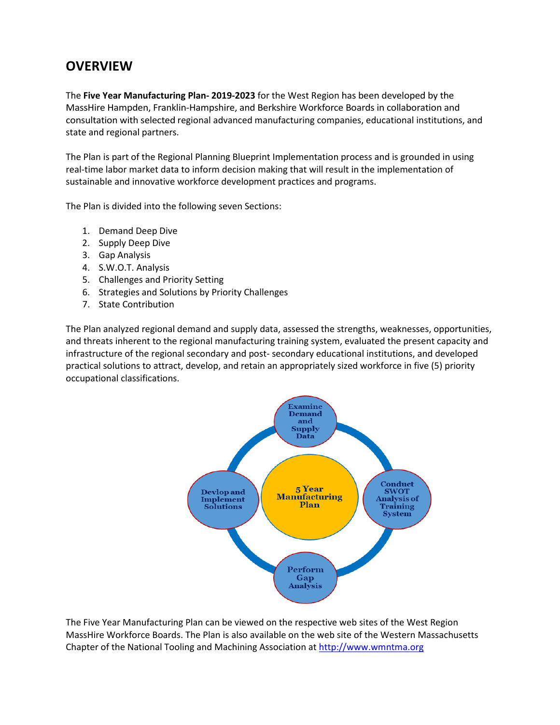#### **OVERVIEW**

The **Five Year Manufacturing Plan- 2019-2023** for the West Region has been developed by the MassHire Hampden, Franklin-Hampshire, and Berkshire Workforce Boards in collaboration and consultation with selected regional advanced manufacturing companies, educational institutions, and state and regional partners.

The Plan is part of the Regional Planning Blueprint Implementation process and is grounded in using real-time labor market data to inform decision making that will result in the implementation of sustainable and innovative workforce development practices and programs.

The Plan is divided into the following seven Sections:

- 1. Demand Deep Dive
- 2. Supply Deep Dive
- 3. Gap Analysis
- 4. S.W.O.T. Analysis
- 5. Challenges and Priority Setting
- 6. Strategies and Solutions by Priority Challenges
- 7. State Contribution

The Plan analyzed regional demand and supply data, assessed the strengths, weaknesses, opportunities, and threats inherent to the regional manufacturing training system, evaluated the present capacity and infrastructure of the regional secondary and post- secondary educational institutions, and developed practical solutions to attract, develop, and retain an appropriately sized workforce in five (5) priority occupational classifications.



The Five Year Manufacturing Plan can be viewed on the respective web sites of the West Region MassHire Workforce Boards. The Plan is also available on the web site of the Western Massachusetts Chapter of the National Tooling and Machining Association at [http://www.wmntma.org](http://www.wmntma.org/)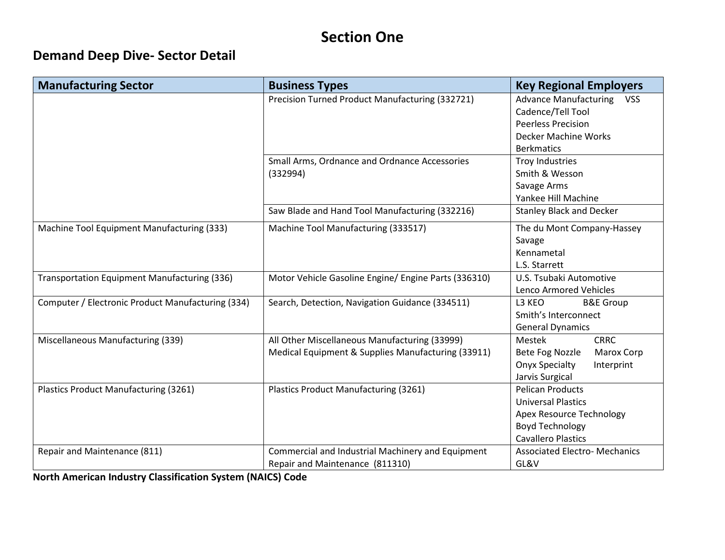### **Section One**

#### **Demand Deep Dive- Sector Detail**

| <b>Manufacturing Sector</b>                       | <b>Business Types</b>                                                                               | <b>Key Regional Employers</b>                                                                                                           |
|---------------------------------------------------|-----------------------------------------------------------------------------------------------------|-----------------------------------------------------------------------------------------------------------------------------------------|
|                                                   | Precision Turned Product Manufacturing (332721)                                                     | <b>Advance Manufacturing</b><br><b>VSS</b><br>Cadence/Tell Tool<br><b>Peerless Precision</b>                                            |
|                                                   |                                                                                                     | Decker Machine Works<br><b>Berkmatics</b>                                                                                               |
|                                                   | Small Arms, Ordnance and Ordnance Accessories<br>(332994)                                           | <b>Troy Industries</b><br>Smith & Wesson<br>Savage Arms<br>Yankee Hill Machine                                                          |
|                                                   | Saw Blade and Hand Tool Manufacturing (332216)                                                      | <b>Stanley Black and Decker</b>                                                                                                         |
| Machine Tool Equipment Manufacturing (333)        | Machine Tool Manufacturing (333517)                                                                 | The du Mont Company-Hassey<br>Savage<br>Kennametal<br>L.S. Starrett                                                                     |
| Transportation Equipment Manufacturing (336)      | Motor Vehicle Gasoline Engine/ Engine Parts (336310)                                                | U.S. Tsubaki Automotive<br>Lenco Armored Vehicles                                                                                       |
| Computer / Electronic Product Manufacturing (334) | Search, Detection, Navigation Guidance (334511)                                                     | L3 KEO<br><b>B&amp;E Group</b><br>Smith's Interconnect<br><b>General Dynamics</b>                                                       |
| Miscellaneous Manufacturing (339)                 | All Other Miscellaneous Manufacturing (33999)<br>Medical Equipment & Supplies Manufacturing (33911) | <b>CRRC</b><br>Mestek<br>Bete Fog Nozzle<br>Marox Corp<br><b>Onyx Specialty</b><br>Interprint<br>Jarvis Surgical                        |
| Plastics Product Manufacturing (3261)             | Plastics Product Manufacturing (3261)                                                               | <b>Pelican Products</b><br><b>Universal Plastics</b><br>Apex Resource Technology<br><b>Boyd Technology</b><br><b>Cavallero Plastics</b> |
| Repair and Maintenance (811)                      | Commercial and Industrial Machinery and Equipment<br>Repair and Maintenance (811310)                | <b>Associated Electro- Mechanics</b><br>GL&V                                                                                            |

**North American Industry Classification System (NAICS) Code**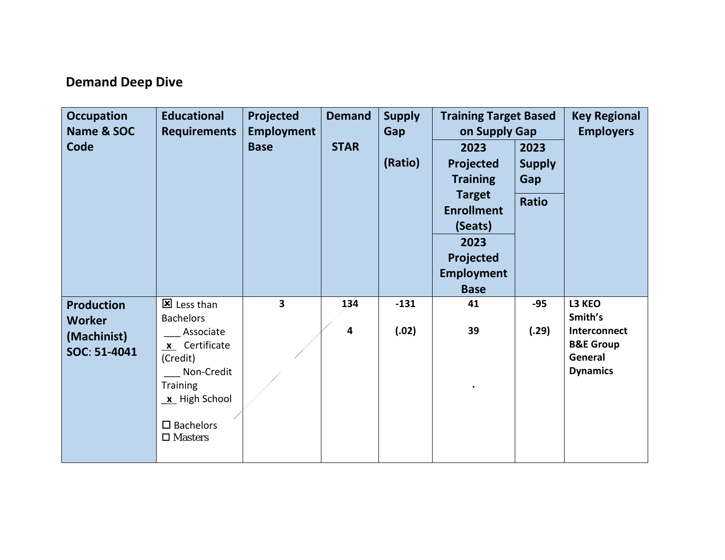#### **Demand Deep Dive**

| <b>Occupation</b><br>Name & SOC<br>Code                           | <b>Educational</b><br><b>Requirements</b>                                                                                                                               | Projected<br><b>Employment</b><br><b>Base</b> | <b>Demand</b><br><b>STAR</b>   | <b>Supply</b><br>Gap<br>(Ratio) | <b>Training Target Based</b><br>on Supply Gap<br>2023<br>Projected<br><b>Training</b><br><b>Target</b><br><b>Enrollment</b><br>(Seats)<br>2023<br>Projected<br><b>Employment</b><br><b>Base</b> | 2023<br><b>Supply</b><br>Gap<br><b>Ratio</b> | <b>Key Regional</b><br><b>Employers</b>                                                 |
|-------------------------------------------------------------------|-------------------------------------------------------------------------------------------------------------------------------------------------------------------------|-----------------------------------------------|--------------------------------|---------------------------------|-------------------------------------------------------------------------------------------------------------------------------------------------------------------------------------------------|----------------------------------------------|-----------------------------------------------------------------------------------------|
| <b>Production</b><br><b>Worker</b><br>(Machinist)<br>SOC: 51-4041 | 区 Less than<br><b>Bachelors</b><br>Associate<br>x Certificate<br>(Credit)<br>Non-Credit<br><b>Training</b><br>x High School<br>$\square$ Bachelors<br>$\square$ Masters | 3                                             | 134<br>$\overline{\mathbf{4}}$ | $-131$<br>(.02)                 | 41<br>39                                                                                                                                                                                        | $-95$<br>(.29)                               | L3 KEO<br>Smith's<br>Interconnect<br><b>B&amp;E Group</b><br>General<br><b>Dynamics</b> |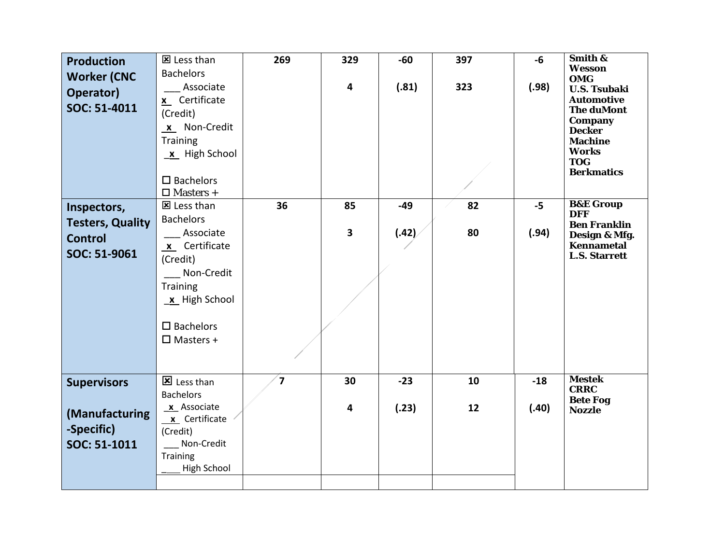| <b>Production</b><br><b>Worker (CNC</b><br>Operator)<br>SOC: 51-4011 | 区 Less than<br><b>Bachelors</b><br>Associate<br>x Certificate<br>(Credit)<br>x Non-Credit<br><b>Training</b><br>$x$ High School                         | 269                     | 329<br>$\overline{\mathbf{4}}$ | $-60$<br>(.81) | 397<br>323 | -6<br>(.98) | Smith &<br>Wesson<br><b>OMG</b><br><b>U.S. Tsubaki</b><br><b>Automotive</b><br><b>The duMont</b><br>Company<br><b>Decker</b><br><b>Machine</b><br><b>Works</b> |
|----------------------------------------------------------------------|---------------------------------------------------------------------------------------------------------------------------------------------------------|-------------------------|--------------------------------|----------------|------------|-------------|----------------------------------------------------------------------------------------------------------------------------------------------------------------|
|                                                                      | $\square$ Bachelors<br>$\square$ Masters +                                                                                                              |                         |                                |                |            |             | <b>TOG</b><br><b>Berkmatics</b>                                                                                                                                |
| Inspectors,                                                          | 区 Less than                                                                                                                                             | 36                      | 85                             | $-49$          | 82         | $-5$        | <b>B&amp;E Group</b><br><b>DFF</b>                                                                                                                             |
| <b>Testers, Quality</b><br><b>Control</b><br>SOC: 51-9061            | <b>Bachelors</b><br>Associate<br>x Certificate<br>(Credit)<br>Non-Credit<br><b>Training</b><br>x High School<br>$\square$ Bachelors<br>$\Box$ Masters + |                         | 3                              | (.42)          | 80         | (.94)       | <b>Ben Franklin</b><br>Design & Mfg.<br>Kennametal<br><b>L.S. Starrett</b>                                                                                     |
| <b>Supervisors</b>                                                   | IS Less than<br><b>Bachelors</b>                                                                                                                        | $\overline{\mathbf{z}}$ | 30                             | $-23$          | 10         | $-18$       | <b>Mestek</b><br><b>CRRC</b>                                                                                                                                   |
| (Manufacturing<br>-Specific)<br>SOC: 51-1011                         | x Associate<br>x Certificate<br>(Credit)<br>Non-Credit<br><b>Training</b><br>High School                                                                |                         | 4                              | (.23)          | 12         | (.40)       | <b>Bete Fog</b><br><b>Nozzle</b>                                                                                                                               |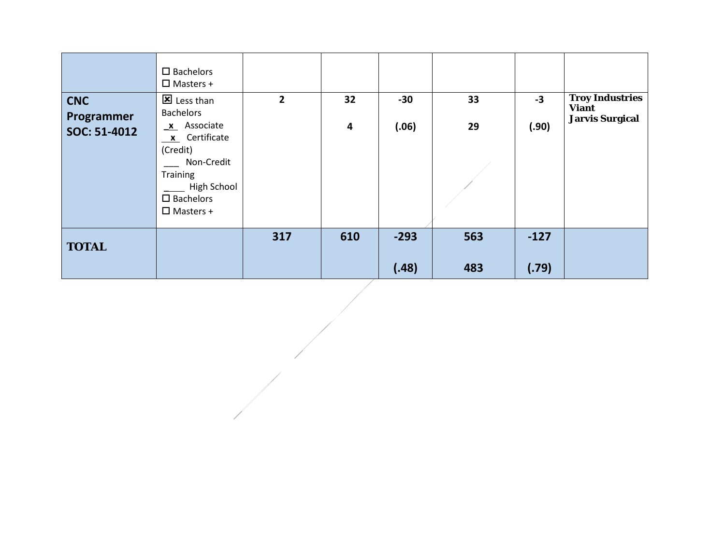| <b>CNC</b><br>Programmer<br>SOC: 51-4012 | $\square$ Bachelors<br>$\Box$ Masters +<br>区 Less than<br><b>Bachelors</b><br>x Associate<br>$x$ Certificate<br>(Credit)<br>Non-Credit<br>Training<br>High School<br>$\square$ Bachelors<br>$\Box$ Masters + | $\overline{\mathbf{2}}$ | 32<br>4 | $-30$<br>(.06)  | 33<br>29   | $-3$<br>(.90)   | <b>Troy Industries</b><br><b>Viant</b><br><b>Jarvis Surgical</b> |
|------------------------------------------|--------------------------------------------------------------------------------------------------------------------------------------------------------------------------------------------------------------|-------------------------|---------|-----------------|------------|-----------------|------------------------------------------------------------------|
| <b>TOTAL</b>                             |                                                                                                                                                                                                              | 317                     | 610     | $-293$<br>(.48) | 563<br>483 | $-127$<br>(.79) |                                                                  |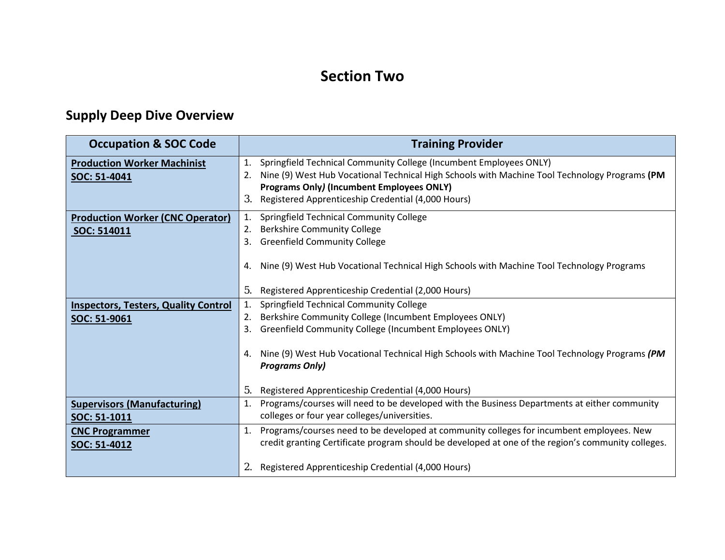### **Section Two**

## **Supply Deep Dive Overview**

| <b>Occupation &amp; SOC Code</b>                            | <b>Training Provider</b>                                                                                                                                                                                                                                                                                                                                                   |
|-------------------------------------------------------------|----------------------------------------------------------------------------------------------------------------------------------------------------------------------------------------------------------------------------------------------------------------------------------------------------------------------------------------------------------------------------|
| <b>Production Worker Machinist</b><br>SOC: 51-4041          | Springfield Technical Community College (Incumbent Employees ONLY)<br>1.<br>Nine (9) West Hub Vocational Technical High Schools with Machine Tool Technology Programs (PM<br>2.<br><b>Programs Only) (Incumbent Employees ONLY)</b><br>Registered Apprenticeship Credential (4,000 Hours)<br>3.                                                                            |
| <b>Production Worker (CNC Operator)</b><br>SOC: 514011      | Springfield Technical Community College<br>1.<br><b>Berkshire Community College</b><br>2.<br><b>Greenfield Community College</b><br>3.<br>Nine (9) West Hub Vocational Technical High Schools with Machine Tool Technology Programs<br>4.                                                                                                                                  |
|                                                             | Registered Apprenticeship Credential (2,000 Hours)<br>5.                                                                                                                                                                                                                                                                                                                   |
| <b>Inspectors, Testers, Quality Control</b><br>SOC: 51-9061 | Springfield Technical Community College<br>1.<br>Berkshire Community College (Incumbent Employees ONLY)<br>2.<br>Greenfield Community College (Incumbent Employees ONLY)<br>3.<br>Nine (9) West Hub Vocational Technical High Schools with Machine Tool Technology Programs (PM<br>4.<br><b>Programs Only)</b><br>Registered Apprenticeship Credential (4,000 Hours)<br>5. |
| <b>Supervisors (Manufacturing)</b>                          | Programs/courses will need to be developed with the Business Departments at either community<br>1.<br>colleges or four year colleges/universities.                                                                                                                                                                                                                         |
| SOC: 51-1011<br><b>CNC Programmer</b>                       | Programs/courses need to be developed at community colleges for incumbent employees. New<br>1.                                                                                                                                                                                                                                                                             |
| SOC: 51-4012                                                | credit granting Certificate program should be developed at one of the region's community colleges.                                                                                                                                                                                                                                                                         |
|                                                             | Registered Apprenticeship Credential (4,000 Hours)                                                                                                                                                                                                                                                                                                                         |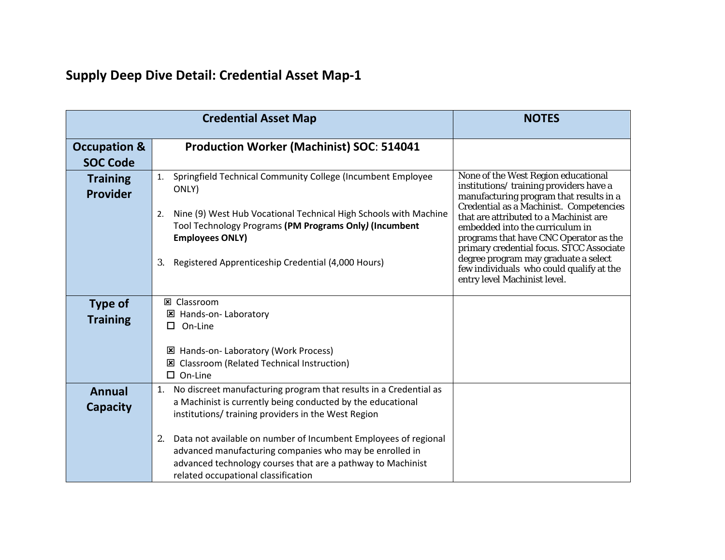|                                            | <b>Credential Asset Map</b>                                                                                                                                                                                                            | <b>NOTES</b>                                                                                                                                                                                                                                     |
|--------------------------------------------|----------------------------------------------------------------------------------------------------------------------------------------------------------------------------------------------------------------------------------------|--------------------------------------------------------------------------------------------------------------------------------------------------------------------------------------------------------------------------------------------------|
| <b>Occupation &amp;</b><br><b>SOC Code</b> | Production Worker (Machinist) SOC: 514041                                                                                                                                                                                              |                                                                                                                                                                                                                                                  |
| <b>Training</b><br><b>Provider</b>         | Springfield Technical Community College (Incumbent Employee<br>1.<br>ONLY)<br>Nine (9) West Hub Vocational Technical High Schools with Machine<br>2.<br>Tool Technology Programs (PM Programs Only) (Incumbent                         | None of the West Region educational<br>institutions/training providers have a<br>manufacturing program that results in a<br>Credential as a Machinist. Competencies<br>that are attributed to a Machinist are<br>embedded into the curriculum in |
|                                            | <b>Employees ONLY)</b><br>Registered Apprenticeship Credential (4,000 Hours)<br>3.                                                                                                                                                     | programs that have CNC Operator as the<br>primary credential focus. STCC Associate<br>degree program may graduate a select<br>few individuals who could qualify at the<br>entry level Machinist level.                                           |
| <b>Type of</b><br><b>Training</b>          | <b>図 Classroom</b><br>区 Hands-on- Laboratory<br>$\Box$ On-Line                                                                                                                                                                         |                                                                                                                                                                                                                                                  |
|                                            | Hands-on-Laboratory (Work Process)<br>×<br><b>Classroom (Related Technical Instruction)</b><br>×<br>$\square$ On-Line                                                                                                                  |                                                                                                                                                                                                                                                  |
| Annual<br><b>Capacity</b>                  | No discreet manufacturing program that results in a Credential as<br>1.<br>a Machinist is currently being conducted by the educational<br>institutions/ training providers in the West Region                                          |                                                                                                                                                                                                                                                  |
|                                            | Data not available on number of Incumbent Employees of regional<br>2.<br>advanced manufacturing companies who may be enrolled in<br>advanced technology courses that are a pathway to Machinist<br>related occupational classification |                                                                                                                                                                                                                                                  |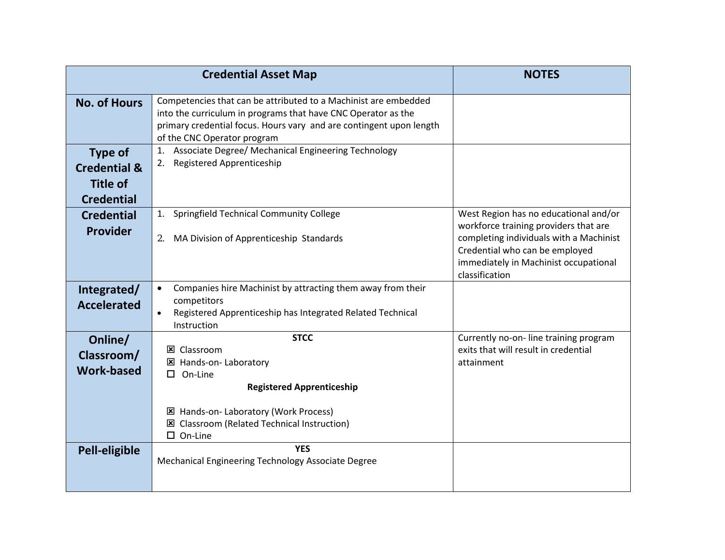|                                                                                   | <b>Credential Asset Map</b>                                                                                                                                                                                                            | <b>NOTES</b>                                                                                                                                                                                                           |
|-----------------------------------------------------------------------------------|----------------------------------------------------------------------------------------------------------------------------------------------------------------------------------------------------------------------------------------|------------------------------------------------------------------------------------------------------------------------------------------------------------------------------------------------------------------------|
| <b>No. of Hours</b>                                                               | Competencies that can be attributed to a Machinist are embedded<br>into the curriculum in programs that have CNC Operator as the<br>primary credential focus. Hours vary and are contingent upon length<br>of the CNC Operator program |                                                                                                                                                                                                                        |
| <b>Type of</b><br><b>Credential &amp;</b><br><b>Title of</b><br><b>Credential</b> | 1. Associate Degree/ Mechanical Engineering Technology<br>Registered Apprenticeship<br>2.                                                                                                                                              |                                                                                                                                                                                                                        |
| <b>Credential</b><br><b>Provider</b>                                              | Springfield Technical Community College<br>1.<br>2.<br>MA Division of Apprenticeship Standards                                                                                                                                         | West Region has no educational and/or<br>workforce training providers that are<br>completing individuals with a Machinist<br>Credential who can be employed<br>immediately in Machinist occupational<br>classification |
| Integrated/<br><b>Accelerated</b>                                                 | Companies hire Machinist by attracting them away from their<br>$\bullet$<br>competitors<br>Registered Apprenticeship has Integrated Related Technical<br>$\bullet$<br>Instruction                                                      |                                                                                                                                                                                                                        |
| Online/<br>Classroom/<br><b>Work-based</b>                                        | <b>STCC</b><br><b>区 Classroom</b><br>区 Hands-on- Laboratory<br>On-Line<br>п<br><b>Registered Apprenticeship</b><br><b>E</b> Hands-on- Laboratory (Work Process)<br>区 Classroom (Related Technical Instruction)<br>$\square$ On-Line    | Currently no-on-line training program<br>exits that will result in credential<br>attainment                                                                                                                            |
| <b>Pell-eligible</b>                                                              | <b>YES</b><br>Mechanical Engineering Technology Associate Degree                                                                                                                                                                       |                                                                                                                                                                                                                        |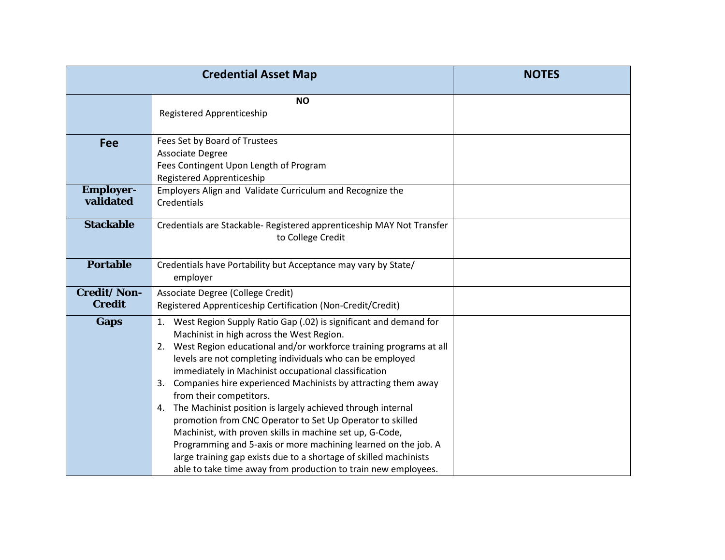|                                     | <b>Credential Asset Map</b>                                                                                                                                                                                                                                                                                                                                                                                                                                                                                                                                                                                                                                                                                                                                                                                            | <b>NOTES</b> |
|-------------------------------------|------------------------------------------------------------------------------------------------------------------------------------------------------------------------------------------------------------------------------------------------------------------------------------------------------------------------------------------------------------------------------------------------------------------------------------------------------------------------------------------------------------------------------------------------------------------------------------------------------------------------------------------------------------------------------------------------------------------------------------------------------------------------------------------------------------------------|--------------|
|                                     | <b>NO</b><br>Registered Apprenticeship                                                                                                                                                                                                                                                                                                                                                                                                                                                                                                                                                                                                                                                                                                                                                                                 |              |
| Fee                                 | Fees Set by Board of Trustees<br><b>Associate Degree</b><br>Fees Contingent Upon Length of Program<br>Registered Apprenticeship                                                                                                                                                                                                                                                                                                                                                                                                                                                                                                                                                                                                                                                                                        |              |
| <b>Employer-</b><br>validated       | Employers Align and Validate Curriculum and Recognize the<br>Credentials                                                                                                                                                                                                                                                                                                                                                                                                                                                                                                                                                                                                                                                                                                                                               |              |
| <b>Stackable</b>                    | Credentials are Stackable- Registered apprenticeship MAY Not Transfer<br>to College Credit                                                                                                                                                                                                                                                                                                                                                                                                                                                                                                                                                                                                                                                                                                                             |              |
| <b>Portable</b>                     | Credentials have Portability but Acceptance may vary by State/<br>employer                                                                                                                                                                                                                                                                                                                                                                                                                                                                                                                                                                                                                                                                                                                                             |              |
| <b>Credit/Non-</b><br><b>Credit</b> | Associate Degree (College Credit)<br>Registered Apprenticeship Certification (Non-Credit/Credit)                                                                                                                                                                                                                                                                                                                                                                                                                                                                                                                                                                                                                                                                                                                       |              |
| <b>Gaps</b>                         | 1. West Region Supply Ratio Gap (.02) is significant and demand for<br>Machinist in high across the West Region.<br>2. West Region educational and/or workforce training programs at all<br>levels are not completing individuals who can be employed<br>immediately in Machinist occupational classification<br>Companies hire experienced Machinists by attracting them away<br>3.<br>from their competitors.<br>The Machinist position is largely achieved through internal<br>4.<br>promotion from CNC Operator to Set Up Operator to skilled<br>Machinist, with proven skills in machine set up, G-Code,<br>Programming and 5-axis or more machining learned on the job. A<br>large training gap exists due to a shortage of skilled machinists<br>able to take time away from production to train new employees. |              |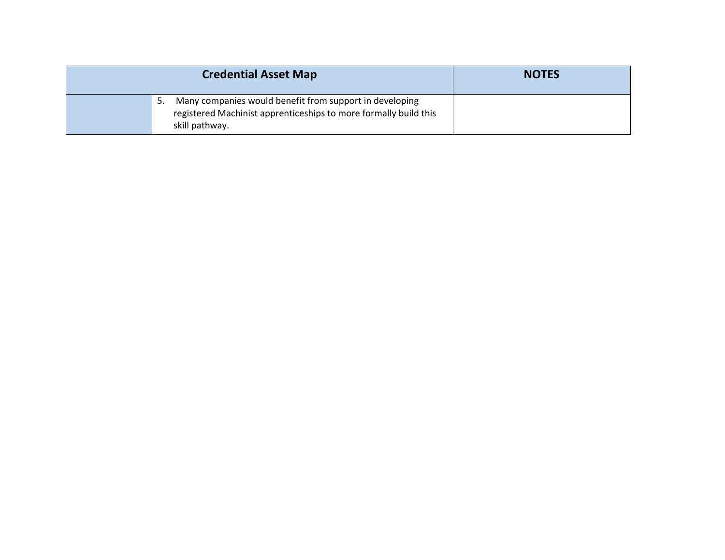|    | <b>NOTES</b>                                                                                                                                  |  |
|----|-----------------------------------------------------------------------------------------------------------------------------------------------|--|
| 5. | Many companies would benefit from support in developing<br>registered Machinist apprenticeships to more formally build this<br>skill pathway. |  |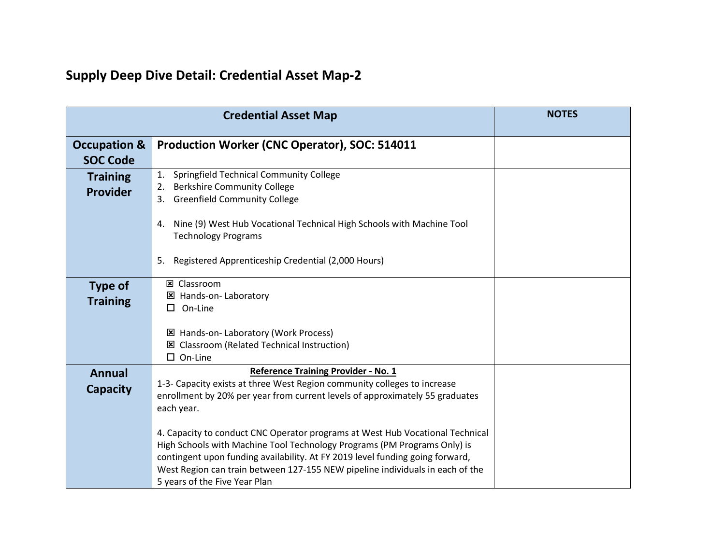|                                    | <b>Credential Asset Map</b>                                                                                                                                                                                                                                                                                                                                  | <b>NOTES</b> |
|------------------------------------|--------------------------------------------------------------------------------------------------------------------------------------------------------------------------------------------------------------------------------------------------------------------------------------------------------------------------------------------------------------|--------------|
| <b>Occupation &amp;</b>            | Production Worker (CNC Operator), SOC: 514011                                                                                                                                                                                                                                                                                                                |              |
| <b>SOC Code</b>                    |                                                                                                                                                                                                                                                                                                                                                              |              |
| <b>Training</b><br><b>Provider</b> | Springfield Technical Community College<br>1.<br><b>Berkshire Community College</b><br>2.<br><b>Greenfield Community College</b><br>3.                                                                                                                                                                                                                       |              |
|                                    | Nine (9) West Hub Vocational Technical High Schools with Machine Tool<br>4.<br><b>Technology Programs</b>                                                                                                                                                                                                                                                    |              |
|                                    | Registered Apprenticeship Credential (2,000 Hours)<br>5.                                                                                                                                                                                                                                                                                                     |              |
| <b>Type of</b><br><b>Training</b>  | <b>図 Classroom</b><br>区 Hands-on- Laboratory<br>On-Line<br>□                                                                                                                                                                                                                                                                                                 |              |
|                                    | 区 Hands-on- Laboratory (Work Process)<br>区 Classroom (Related Technical Instruction)<br>$\square$ On-Line                                                                                                                                                                                                                                                    |              |
| <b>Annual</b><br><b>Capacity</b>   | <b>Reference Training Provider - No. 1</b><br>1-3- Capacity exists at three West Region community colleges to increase<br>enrollment by 20% per year from current levels of approximately 55 graduates<br>each year.                                                                                                                                         |              |
|                                    | 4. Capacity to conduct CNC Operator programs at West Hub Vocational Technical<br>High Schools with Machine Tool Technology Programs (PM Programs Only) is<br>contingent upon funding availability. At FY 2019 level funding going forward,<br>West Region can train between 127-155 NEW pipeline individuals in each of the<br>5 years of the Five Year Plan |              |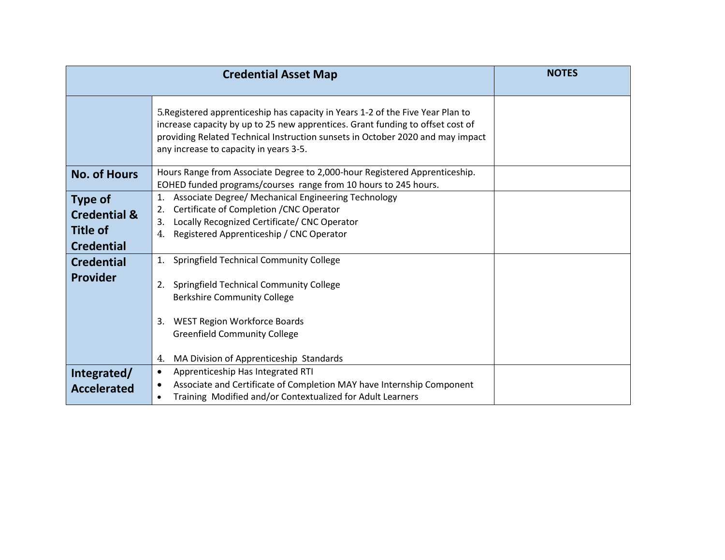|                                                                                                        | <b>Credential Asset Map</b>                                                                                                                                                                                                                                                                   | <b>NOTES</b> |
|--------------------------------------------------------------------------------------------------------|-----------------------------------------------------------------------------------------------------------------------------------------------------------------------------------------------------------------------------------------------------------------------------------------------|--------------|
|                                                                                                        | 5. Registered apprenticeship has capacity in Years 1-2 of the Five Year Plan to<br>increase capacity by up to 25 new apprentices. Grant funding to offset cost of<br>providing Related Technical Instruction sunsets in October 2020 and may impact<br>any increase to capacity in years 3-5. |              |
| <b>No. of Hours</b>                                                                                    | Hours Range from Associate Degree to 2,000-hour Registered Apprenticeship.<br>EOHED funded programs/courses range from 10 hours to 245 hours.                                                                                                                                                 |              |
| <b>Type of</b><br><b>Credential &amp;</b><br><b>Title of</b><br><b>Credential</b><br><b>Credential</b> | Associate Degree/ Mechanical Engineering Technology<br>1.<br>Certificate of Completion / CNC Operator<br>2.<br>Locally Recognized Certificate/ CNC Operator<br>3.<br>Registered Apprenticeship / CNC Operator<br>4.<br>Springfield Technical Community College<br>1.                          |              |
| <b>Provider</b>                                                                                        | Springfield Technical Community College<br>2.<br><b>Berkshire Community College</b><br><b>WEST Region Workforce Boards</b><br>3.<br><b>Greenfield Community College</b><br>MA Division of Apprenticeship Standards<br>4.                                                                      |              |
| Integrated/<br><b>Accelerated</b>                                                                      | Apprenticeship Has Integrated RTI<br>$\bullet$<br>Associate and Certificate of Completion MAY have Internship Component<br>$\bullet$<br>Training Modified and/or Contextualized for Adult Learners<br>$\bullet$                                                                               |              |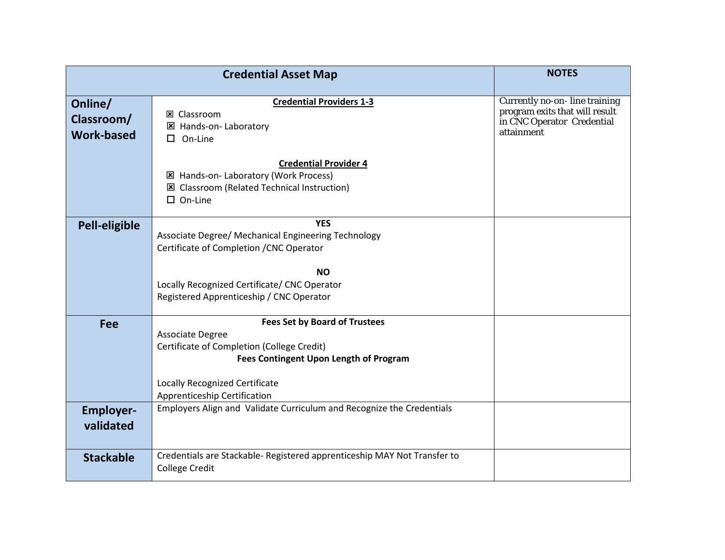|                                            | <b>Credential Asset Map</b>                                                                                                                                                                                                             | <b>NOTES</b>                                                                                                |
|--------------------------------------------|-----------------------------------------------------------------------------------------------------------------------------------------------------------------------------------------------------------------------------------------|-------------------------------------------------------------------------------------------------------------|
| Online/<br>Classroom/<br><b>Work-based</b> | <b>Credential Providers 1-3</b><br><b>図 Classroom</b><br>区 Hands-on- Laboratory<br>On-Line<br>□                                                                                                                                         | Currently no-on-line training<br>program exits that will result<br>in CNC Operator Credential<br>attainment |
|                                            | <b>Credential Provider 4</b><br>区 Hands-on- Laboratory (Work Process)<br>区 Classroom (Related Technical Instruction)<br>$\square$ On-Line                                                                                               |                                                                                                             |
| Pell-eligible                              | <b>YES</b><br>Associate Degree/ Mechanical Engineering Technology<br>Certificate of Completion / CNC Operator<br><b>NO</b><br>Locally Recognized Certificate/ CNC Operator                                                              |                                                                                                             |
|                                            | Registered Apprenticeship / CNC Operator                                                                                                                                                                                                |                                                                                                             |
| <b>Fee</b>                                 | <b>Fees Set by Board of Trustees</b><br><b>Associate Degree</b><br>Certificate of Completion (College Credit)<br><b>Fees Contingent Upon Length of Program</b><br><b>Locally Recognized Certificate</b><br>Apprenticeship Certification |                                                                                                             |
| <b>Employer-</b><br>validated              | Employers Align and Validate Curriculum and Recognize the Credentials                                                                                                                                                                   |                                                                                                             |
| <b>Stackable</b>                           | Credentials are Stackable- Registered apprenticeship MAY Not Transfer to<br><b>College Credit</b>                                                                                                                                       |                                                                                                             |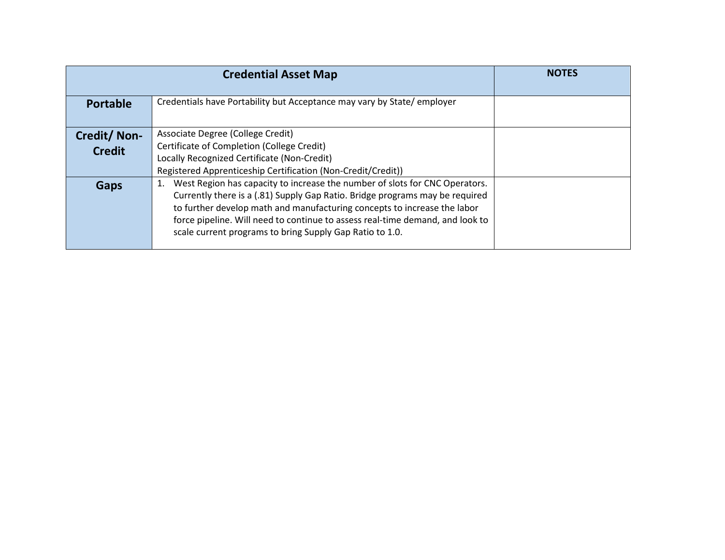|                              | <b>Credential Asset Map</b>                                                                                                                                                                                                                                                                                                                                                                | <b>NOTES</b> |
|------------------------------|--------------------------------------------------------------------------------------------------------------------------------------------------------------------------------------------------------------------------------------------------------------------------------------------------------------------------------------------------------------------------------------------|--------------|
| <b>Portable</b>              | Credentials have Portability but Acceptance may vary by State/employer                                                                                                                                                                                                                                                                                                                     |              |
| Credit/Non-<br><b>Credit</b> | Associate Degree (College Credit)<br>Certificate of Completion (College Credit)<br>Locally Recognized Certificate (Non-Credit)<br>Registered Apprenticeship Certification (Non-Credit/Credit))                                                                                                                                                                                             |              |
| Gaps                         | West Region has capacity to increase the number of slots for CNC Operators.<br>1.<br>Currently there is a (.81) Supply Gap Ratio. Bridge programs may be required<br>to further develop math and manufacturing concepts to increase the labor<br>force pipeline. Will need to continue to assess real-time demand, and look to<br>scale current programs to bring Supply Gap Ratio to 1.0. |              |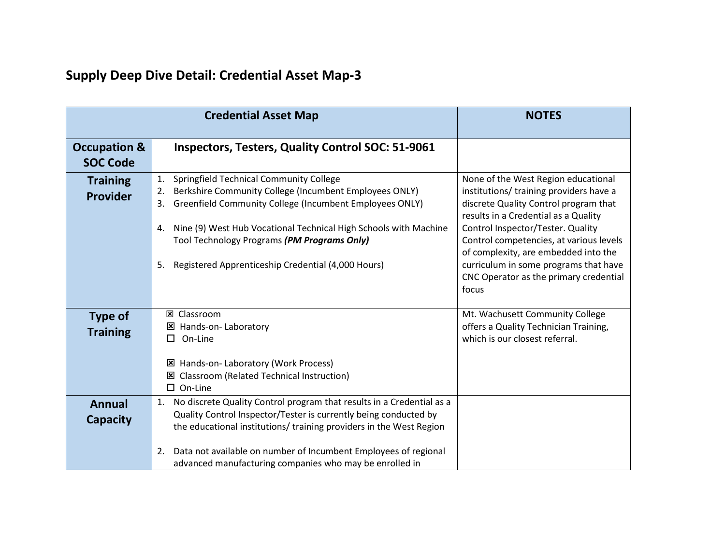|                                            | <b>Credential Asset Map</b>                                                                                                                                                                                                                                                                                                                                         | <b>NOTES</b>                                                                                                                                                                                                                                                                                                                                                                        |
|--------------------------------------------|---------------------------------------------------------------------------------------------------------------------------------------------------------------------------------------------------------------------------------------------------------------------------------------------------------------------------------------------------------------------|-------------------------------------------------------------------------------------------------------------------------------------------------------------------------------------------------------------------------------------------------------------------------------------------------------------------------------------------------------------------------------------|
| <b>Occupation &amp;</b><br><b>SOC Code</b> | <b>Inspectors, Testers, Quality Control SOC: 51-9061</b>                                                                                                                                                                                                                                                                                                            |                                                                                                                                                                                                                                                                                                                                                                                     |
| <b>Training</b><br><b>Provider</b>         | Springfield Technical Community College<br>1.<br>Berkshire Community College (Incumbent Employees ONLY)<br>2.<br>Greenfield Community College (Incumbent Employees ONLY)<br>3.<br>Nine (9) West Hub Vocational Technical High Schools with Machine<br>4.<br>Tool Technology Programs (PM Programs Only)<br>Registered Apprenticeship Credential (4,000 Hours)<br>5. | None of the West Region educational<br>institutions/ training providers have a<br>discrete Quality Control program that<br>results in a Credential as a Quality<br>Control Inspector/Tester. Quality<br>Control competencies, at various levels<br>of complexity, are embedded into the<br>curriculum in some programs that have<br>CNC Operator as the primary credential<br>focus |
| <b>Type of</b><br><b>Training</b>          | <b>図 Classroom</b><br>区 Hands-on- Laboratory<br>On-Line<br>0.<br><b>E</b> Hands-on- Laboratory (Work Process)<br>区 Classroom (Related Technical Instruction)<br>$\Box$ On-Line                                                                                                                                                                                      | Mt. Wachusett Community College<br>offers a Quality Technician Training,<br>which is our closest referral.                                                                                                                                                                                                                                                                          |
| <b>Annual</b><br><b>Capacity</b>           | No discrete Quality Control program that results in a Credential as a<br>1.<br>Quality Control Inspector/Tester is currently being conducted by<br>the educational institutions/ training providers in the West Region<br>Data not available on number of Incumbent Employees of regional<br>2.<br>advanced manufacturing companies who may be enrolled in          |                                                                                                                                                                                                                                                                                                                                                                                     |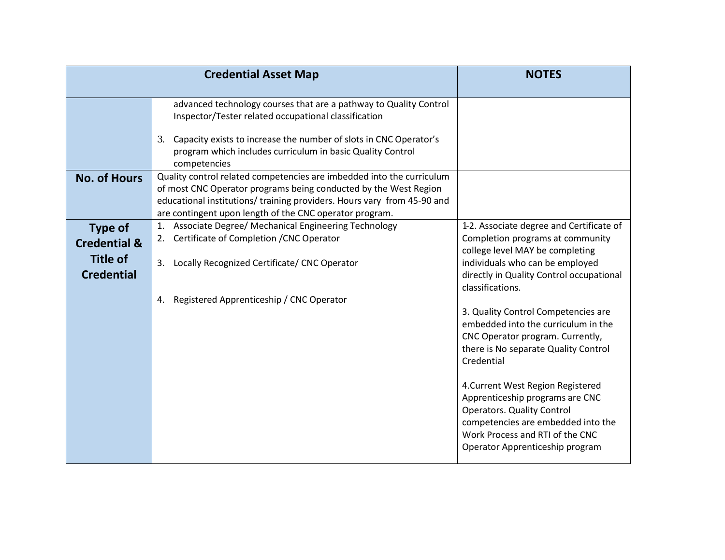|                                                                                   | <b>Credential Asset Map</b>                                                                                                                                                                                                                                                        | <b>NOTES</b>                                                                                                                                                                                                                                                                                                                                                                                                                                                                                                                                  |
|-----------------------------------------------------------------------------------|------------------------------------------------------------------------------------------------------------------------------------------------------------------------------------------------------------------------------------------------------------------------------------|-----------------------------------------------------------------------------------------------------------------------------------------------------------------------------------------------------------------------------------------------------------------------------------------------------------------------------------------------------------------------------------------------------------------------------------------------------------------------------------------------------------------------------------------------|
|                                                                                   | advanced technology courses that are a pathway to Quality Control<br>Inspector/Tester related occupational classification<br>Capacity exists to increase the number of slots in CNC Operator's<br>3.<br>program which includes curriculum in basic Quality Control<br>competencies |                                                                                                                                                                                                                                                                                                                                                                                                                                                                                                                                               |
| <b>No. of Hours</b>                                                               | Quality control related competencies are imbedded into the curriculum<br>of most CNC Operator programs being conducted by the West Region<br>educational institutions/ training providers. Hours vary from 45-90 and<br>are contingent upon length of the CNC operator program.    |                                                                                                                                                                                                                                                                                                                                                                                                                                                                                                                                               |
| <b>Type of</b><br><b>Credential &amp;</b><br><b>Title of</b><br><b>Credential</b> | Associate Degree/ Mechanical Engineering Technology<br>1.<br>Certificate of Completion / CNC Operator<br>2.<br>3.<br>Locally Recognized Certificate/ CNC Operator<br>Registered Apprenticeship / CNC Operator<br>4.                                                                | 1-2. Associate degree and Certificate of<br>Completion programs at community<br>college level MAY be completing<br>individuals who can be employed<br>directly in Quality Control occupational<br>classifications.<br>3. Quality Control Competencies are<br>embedded into the curriculum in the<br>CNC Operator program. Currently,<br>there is No separate Quality Control<br>Credential<br>4. Current West Region Registered<br>Apprenticeship programs are CNC<br><b>Operators. Quality Control</b><br>competencies are embedded into the |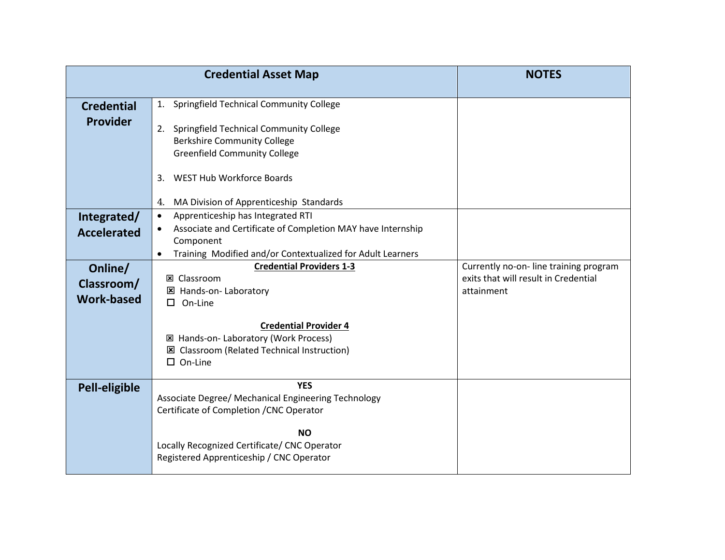|                                            | <b>Credential Asset Map</b>                                                                                                                                                                                        | <b>NOTES</b>                                                                                |
|--------------------------------------------|--------------------------------------------------------------------------------------------------------------------------------------------------------------------------------------------------------------------|---------------------------------------------------------------------------------------------|
| <b>Credential</b><br><b>Provider</b>       | 1. Springfield Technical Community College<br>2. Springfield Technical Community College<br><b>Berkshire Community College</b><br><b>Greenfield Community College</b>                                              |                                                                                             |
|                                            | <b>WEST Hub Workforce Boards</b><br>3.<br>MA Division of Apprenticeship Standards<br>4.                                                                                                                            |                                                                                             |
| Integrated/<br><b>Accelerated</b>          | Apprenticeship has Integrated RTI<br>$\bullet$<br>Associate and Certificate of Completion MAY have Internship<br>$\bullet$<br>Component<br>Training Modified and/or Contextualized for Adult Learners<br>$\bullet$ |                                                                                             |
| Online/<br>Classroom/<br><b>Work-based</b> | <b>Credential Providers 1-3</b><br><b>図 Classroom</b><br>区 Hands-on- Laboratory<br>On-Line<br>□                                                                                                                    | Currently no-on-line training program<br>exits that will result in Credential<br>attainment |
|                                            | <b>Credential Provider 4</b><br>⊠ Hands-on-Laboratory (Work Process)<br><b>E</b> Classroom (Related Technical Instruction)<br>$\square$ On-Line                                                                    |                                                                                             |
| Pell-eligible                              | <b>YES</b><br>Associate Degree/ Mechanical Engineering Technology<br>Certificate of Completion / CNC Operator                                                                                                      |                                                                                             |
|                                            | <b>NO</b><br>Locally Recognized Certificate/ CNC Operator<br>Registered Apprenticeship / CNC Operator                                                                                                              |                                                                                             |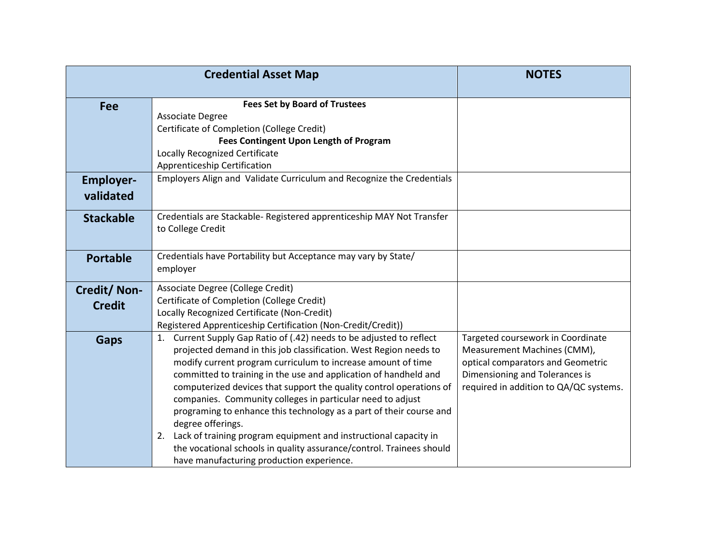|                               | <b>Credential Asset Map</b>                                                                                                                                                                                                                                                                                                                                                                                                                                                                                                                                                                                                                                                                                   | <b>NOTES</b>                                                                                                                                                                      |
|-------------------------------|---------------------------------------------------------------------------------------------------------------------------------------------------------------------------------------------------------------------------------------------------------------------------------------------------------------------------------------------------------------------------------------------------------------------------------------------------------------------------------------------------------------------------------------------------------------------------------------------------------------------------------------------------------------------------------------------------------------|-----------------------------------------------------------------------------------------------------------------------------------------------------------------------------------|
| <b>Fee</b>                    | <b>Fees Set by Board of Trustees</b><br>Associate Degree<br>Certificate of Completion (College Credit)<br><b>Fees Contingent Upon Length of Program</b><br>Locally Recognized Certificate<br>Apprenticeship Certification                                                                                                                                                                                                                                                                                                                                                                                                                                                                                     |                                                                                                                                                                                   |
| <b>Employer-</b><br>validated | Employers Align and Validate Curriculum and Recognize the Credentials                                                                                                                                                                                                                                                                                                                                                                                                                                                                                                                                                                                                                                         |                                                                                                                                                                                   |
| <b>Stackable</b>              | Credentials are Stackable-Registered apprenticeship MAY Not Transfer<br>to College Credit                                                                                                                                                                                                                                                                                                                                                                                                                                                                                                                                                                                                                     |                                                                                                                                                                                   |
| <b>Portable</b>               | Credentials have Portability but Acceptance may vary by State/<br>employer                                                                                                                                                                                                                                                                                                                                                                                                                                                                                                                                                                                                                                    |                                                                                                                                                                                   |
| Credit/Non-<br><b>Credit</b>  | Associate Degree (College Credit)<br>Certificate of Completion (College Credit)<br>Locally Recognized Certificate (Non-Credit)<br>Registered Apprenticeship Certification (Non-Credit/Credit))                                                                                                                                                                                                                                                                                                                                                                                                                                                                                                                |                                                                                                                                                                                   |
| <b>Gaps</b>                   | 1. Current Supply Gap Ratio of (.42) needs to be adjusted to reflect<br>projected demand in this job classification. West Region needs to<br>modify current program curriculum to increase amount of time<br>committed to training in the use and application of handheld and<br>computerized devices that support the quality control operations of<br>companies. Community colleges in particular need to adjust<br>programing to enhance this technology as a part of their course and<br>degree offerings.<br>Lack of training program equipment and instructional capacity in<br>2.<br>the vocational schools in quality assurance/control. Trainees should<br>have manufacturing production experience. | Targeted coursework in Coordinate<br>Measurement Machines (CMM),<br>optical comparators and Geometric<br>Dimensioning and Tolerances is<br>required in addition to QA/QC systems. |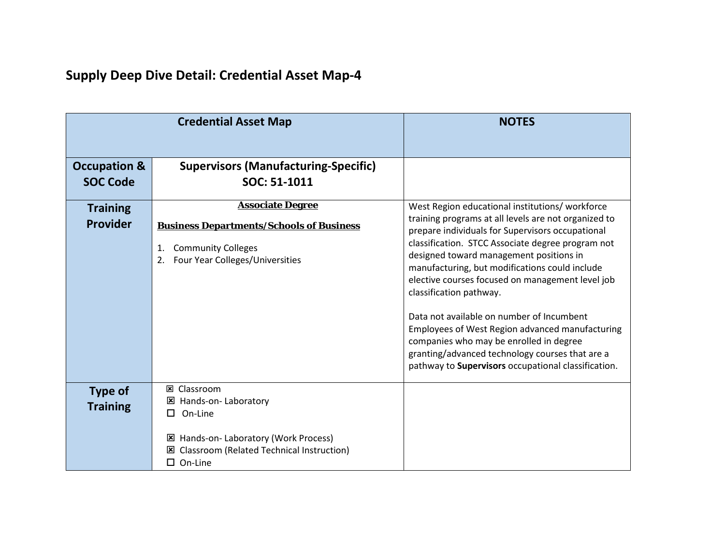|                                            | <b>Credential Asset Map</b>                                                                                                                                                        | <b>NOTES</b>                                                                                                                                                                                                                                                                                                                                                                                                                                                                                                                                                                                                                                     |
|--------------------------------------------|------------------------------------------------------------------------------------------------------------------------------------------------------------------------------------|--------------------------------------------------------------------------------------------------------------------------------------------------------------------------------------------------------------------------------------------------------------------------------------------------------------------------------------------------------------------------------------------------------------------------------------------------------------------------------------------------------------------------------------------------------------------------------------------------------------------------------------------------|
| <b>Occupation &amp;</b><br><b>SOC Code</b> | <b>Supervisors (Manufacturing-Specific)</b><br>SOC: 51-1011                                                                                                                        |                                                                                                                                                                                                                                                                                                                                                                                                                                                                                                                                                                                                                                                  |
| <b>Training</b><br><b>Provider</b>         | <b>Associate Degree</b><br><b>Business Departments/Schools of Business</b><br><b>Community Colleges</b><br>1.<br>Four Year Colleges/Universities<br>2.                             | West Region educational institutions/workforce<br>training programs at all levels are not organized to<br>prepare individuals for Supervisors occupational<br>classification. STCC Associate degree program not<br>designed toward management positions in<br>manufacturing, but modifications could include<br>elective courses focused on management level job<br>classification pathway.<br>Data not available on number of Incumbent<br>Employees of West Region advanced manufacturing<br>companies who may be enrolled in degree<br>granting/advanced technology courses that are a<br>pathway to Supervisors occupational classification. |
| <b>Type of</b><br><b>Training</b>          | <b>図 Classroom</b><br>区 Hands-on- Laboratory<br>On-Line<br>П<br>Hands-on-Laboratory (Work Process)<br>×<br><b>Classroom (Related Technical Instruction)</b><br>⊠<br>$\Box$ On-Line |                                                                                                                                                                                                                                                                                                                                                                                                                                                                                                                                                                                                                                                  |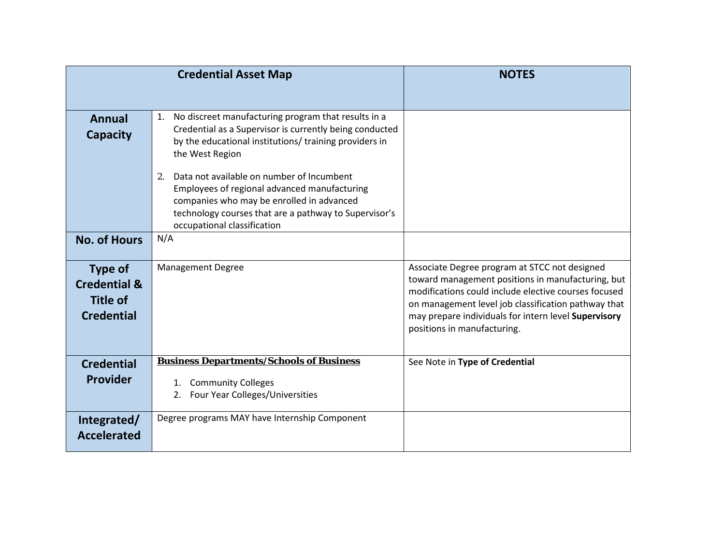|                                                                                   | <b>Credential Asset Map</b>                                                                                                                                                                                                          | <b>NOTES</b>                                                                                                                                                                                                                                                                                             |
|-----------------------------------------------------------------------------------|--------------------------------------------------------------------------------------------------------------------------------------------------------------------------------------------------------------------------------------|----------------------------------------------------------------------------------------------------------------------------------------------------------------------------------------------------------------------------------------------------------------------------------------------------------|
| <b>Annual</b><br><b>Capacity</b>                                                  | No discreet manufacturing program that results in a<br>1.<br>Credential as a Supervisor is currently being conducted<br>by the educational institutions/ training providers in<br>the West Region                                    |                                                                                                                                                                                                                                                                                                          |
|                                                                                   | Data not available on number of Incumbent<br>2.<br>Employees of regional advanced manufacturing<br>companies who may be enrolled in advanced<br>technology courses that are a pathway to Supervisor's<br>occupational classification |                                                                                                                                                                                                                                                                                                          |
| <b>No. of Hours</b>                                                               | N/A                                                                                                                                                                                                                                  |                                                                                                                                                                                                                                                                                                          |
| <b>Type of</b><br><b>Credential &amp;</b><br><b>Title of</b><br><b>Credential</b> | <b>Management Degree</b>                                                                                                                                                                                                             | Associate Degree program at STCC not designed<br>toward management positions in manufacturing, but<br>modifications could include elective courses focused<br>on management level job classification pathway that<br>may prepare individuals for intern level Supervisory<br>positions in manufacturing. |
| <b>Credential</b><br><b>Provider</b>                                              | <b>Business Departments/Schools of Business</b><br>1. Community Colleges<br>Four Year Colleges/Universities<br>2.                                                                                                                    | See Note in Type of Credential                                                                                                                                                                                                                                                                           |
| Integrated/<br><b>Accelerated</b>                                                 | Degree programs MAY have Internship Component                                                                                                                                                                                        |                                                                                                                                                                                                                                                                                                          |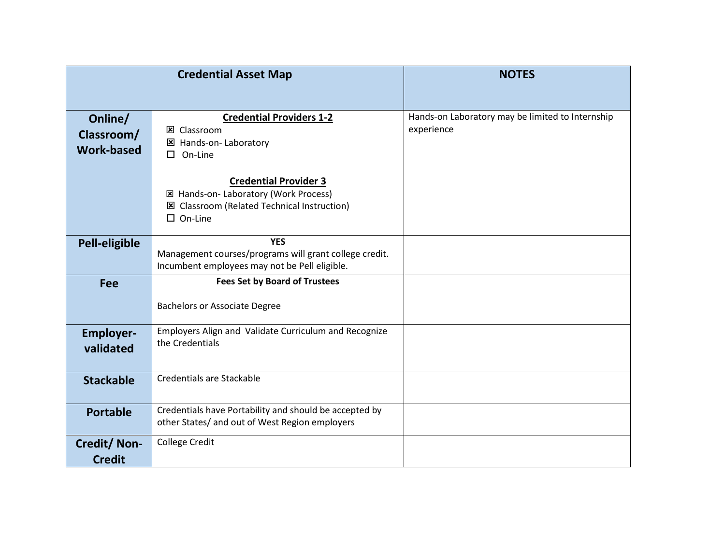|                                            | <b>Credential Asset Map</b>                                                                                                              | <b>NOTES</b>                                                   |
|--------------------------------------------|------------------------------------------------------------------------------------------------------------------------------------------|----------------------------------------------------------------|
| Online/<br>Classroom/<br><b>Work-based</b> | <b>Credential Providers 1-2</b><br><b>区 Classroom</b><br>区 Hands-on- Laboratory<br>On-Line<br>п.                                         | Hands-on Laboratory may be limited to Internship<br>experience |
|                                            | <b>Credential Provider 3</b><br>⊠ Hands-on-Laboratory (Work Process)<br>区 Classroom (Related Technical Instruction)<br>$\square$ On-Line |                                                                |
| <b>Pell-eligible</b>                       | <b>YES</b><br>Management courses/programs will grant college credit.<br>Incumbent employees may not be Pell eligible.                    |                                                                |
| <b>Fee</b>                                 | <b>Fees Set by Board of Trustees</b><br><b>Bachelors or Associate Degree</b>                                                             |                                                                |
| <b>Employer-</b><br>validated              | Employers Align and Validate Curriculum and Recognize<br>the Credentials                                                                 |                                                                |
| <b>Stackable</b>                           | Credentials are Stackable                                                                                                                |                                                                |
| <b>Portable</b>                            | Credentials have Portability and should be accepted by<br>other States/ and out of West Region employers                                 |                                                                |
| Credit/Non-<br><b>Credit</b>               | <b>College Credit</b>                                                                                                                    |                                                                |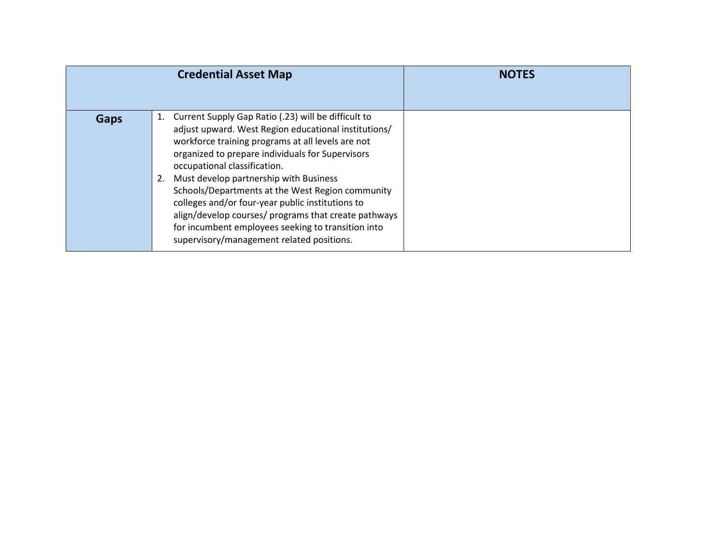|      | <b>Credential Asset Map</b>                                                                                                                                                                                                                                                                                                                                                                                                                                                                                                                                                   | <b>NOTES</b> |
|------|-------------------------------------------------------------------------------------------------------------------------------------------------------------------------------------------------------------------------------------------------------------------------------------------------------------------------------------------------------------------------------------------------------------------------------------------------------------------------------------------------------------------------------------------------------------------------------|--------------|
| Gaps | Current Supply Gap Ratio (.23) will be difficult to<br>1.<br>adjust upward. West Region educational institutions/<br>workforce training programs at all levels are not<br>organized to prepare individuals for Supervisors<br>occupational classification.<br>Must develop partnership with Business<br>2.<br>Schools/Departments at the West Region community<br>colleges and/or four-year public institutions to<br>align/develop courses/ programs that create pathways<br>for incumbent employees seeking to transition into<br>supervisory/management related positions. |              |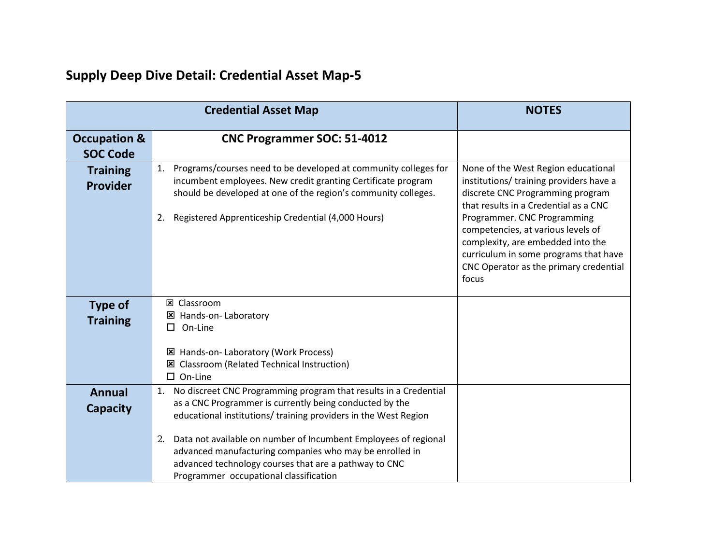|                                            | <b>Credential Asset Map</b>                                                                                                                                                                                                                                                                                                                                                                                                                 | <b>NOTES</b>                                                                                                                                                                                                                                                                                                                                                      |
|--------------------------------------------|---------------------------------------------------------------------------------------------------------------------------------------------------------------------------------------------------------------------------------------------------------------------------------------------------------------------------------------------------------------------------------------------------------------------------------------------|-------------------------------------------------------------------------------------------------------------------------------------------------------------------------------------------------------------------------------------------------------------------------------------------------------------------------------------------------------------------|
| <b>Occupation &amp;</b><br><b>SOC Code</b> | <b>CNC Programmer SOC: 51-4012</b>                                                                                                                                                                                                                                                                                                                                                                                                          |                                                                                                                                                                                                                                                                                                                                                                   |
| <b>Training</b><br>Provider                | Programs/courses need to be developed at community colleges for<br>1.<br>incumbent employees. New credit granting Certificate program<br>should be developed at one of the region's community colleges.<br>Registered Apprenticeship Credential (4,000 Hours)<br>2.                                                                                                                                                                         | None of the West Region educational<br>institutions/ training providers have a<br>discrete CNC Programming program<br>that results in a Credential as a CNC<br>Programmer. CNC Programming<br>competencies, at various levels of<br>complexity, are embedded into the<br>curriculum in some programs that have<br>CNC Operator as the primary credential<br>focus |
| <b>Type of</b><br><b>Training</b>          | <b>図 Classroom</b><br>区 Hands-on- Laboratory<br>On-Line<br>$\Box$<br>区 Hands-on- Laboratory (Work Process)<br><b>Classroom (Related Technical Instruction)</b><br>⊠<br>$\Box$ On-Line                                                                                                                                                                                                                                                       |                                                                                                                                                                                                                                                                                                                                                                   |
| <b>Annual</b><br><b>Capacity</b>           | No discreet CNC Programming program that results in a Credential<br>1.<br>as a CNC Programmer is currently being conducted by the<br>educational institutions/ training providers in the West Region<br>Data not available on number of Incumbent Employees of regional<br>2.<br>advanced manufacturing companies who may be enrolled in<br>advanced technology courses that are a pathway to CNC<br>Programmer occupational classification |                                                                                                                                                                                                                                                                                                                                                                   |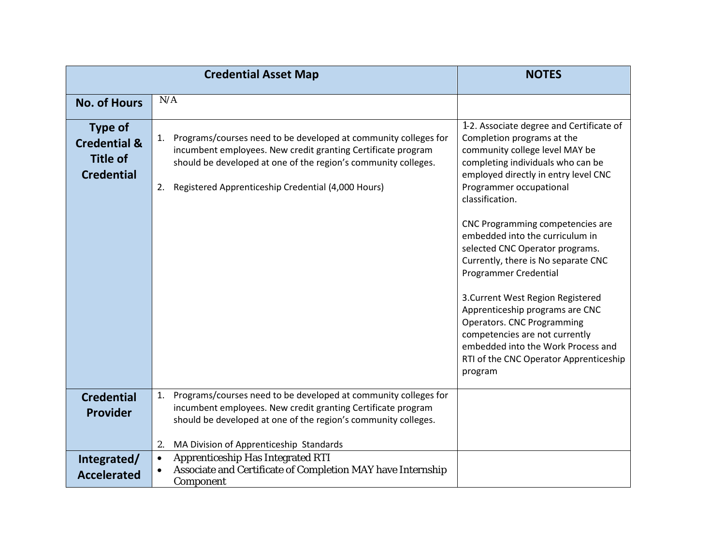|                                                                                   | <b>Credential Asset Map</b>                                                                                                                                                                                                                                         | <b>NOTES</b>                                                                                                                                                                                                                                                                                                                                                                                                                                                                                                                                                                                                                                            |
|-----------------------------------------------------------------------------------|---------------------------------------------------------------------------------------------------------------------------------------------------------------------------------------------------------------------------------------------------------------------|---------------------------------------------------------------------------------------------------------------------------------------------------------------------------------------------------------------------------------------------------------------------------------------------------------------------------------------------------------------------------------------------------------------------------------------------------------------------------------------------------------------------------------------------------------------------------------------------------------------------------------------------------------|
| <b>No. of Hours</b>                                                               | N/A                                                                                                                                                                                                                                                                 |                                                                                                                                                                                                                                                                                                                                                                                                                                                                                                                                                                                                                                                         |
| <b>Type of</b><br><b>Credential &amp;</b><br><b>Title of</b><br><b>Credential</b> | Programs/courses need to be developed at community colleges for<br>1.<br>incumbent employees. New credit granting Certificate program<br>should be developed at one of the region's community colleges.<br>Registered Apprenticeship Credential (4,000 Hours)<br>2. | 1-2. Associate degree and Certificate of<br>Completion programs at the<br>community college level MAY be<br>completing individuals who can be<br>employed directly in entry level CNC<br>Programmer occupational<br>classification.<br>CNC Programming competencies are<br>embedded into the curriculum in<br>selected CNC Operator programs.<br>Currently, there is No separate CNC<br><b>Programmer Credential</b><br>3. Current West Region Registered<br>Apprenticeship programs are CNC<br>Operators. CNC Programming<br>competencies are not currently<br>embedded into the Work Process and<br>RTI of the CNC Operator Apprenticeship<br>program |
| <b>Credential</b><br><b>Provider</b>                                              | Programs/courses need to be developed at community colleges for<br>1.<br>incumbent employees. New credit granting Certificate program<br>should be developed at one of the region's community colleges.<br>MA Division of Apprenticeship Standards<br>2.            |                                                                                                                                                                                                                                                                                                                                                                                                                                                                                                                                                                                                                                                         |
| Integrated/<br><b>Accelerated</b>                                                 | <b>Apprenticeship Has Integrated RTI</b><br>$\bullet$<br>Associate and Certificate of Completion MAY have Internship<br>$\bullet$<br>Component                                                                                                                      |                                                                                                                                                                                                                                                                                                                                                                                                                                                                                                                                                                                                                                                         |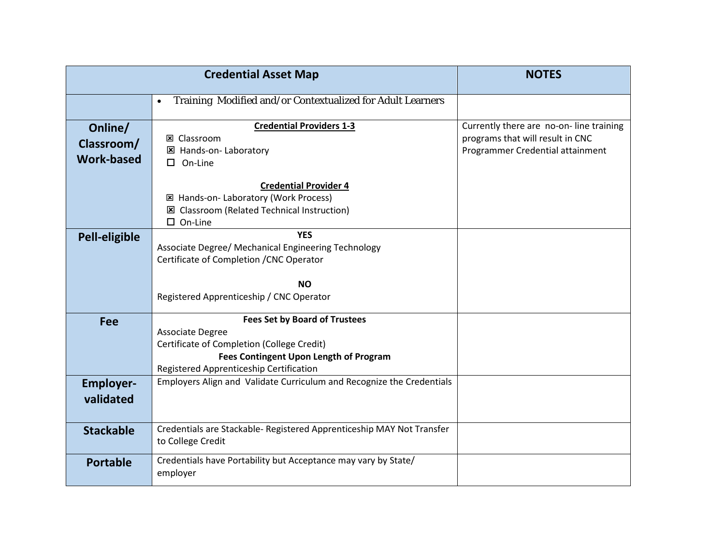|                                            | <b>Credential Asset Map</b>                                                                                                                                                                        | <b>NOTES</b>                                                                                                    |
|--------------------------------------------|----------------------------------------------------------------------------------------------------------------------------------------------------------------------------------------------------|-----------------------------------------------------------------------------------------------------------------|
|                                            | Training Modified and/or Contextualized for Adult Learners<br>$\bullet$                                                                                                                            |                                                                                                                 |
| Online/<br>Classroom/<br><b>Work-based</b> | <b>Credential Providers 1-3</b><br><b>図 Classroom</b><br>区 Hands-on- Laboratory<br>$\Box$ On-Line                                                                                                  | Currently there are no-on-line training<br>programs that will result in CNC<br>Programmer Credential attainment |
|                                            | <b>Credential Provider 4</b><br>⊠ Hands-on-Laboratory (Work Process)<br>区 Classroom (Related Technical Instruction)<br>$\square$ On-Line                                                           |                                                                                                                 |
| Pell-eligible                              | <b>YES</b><br>Associate Degree/ Mechanical Engineering Technology<br>Certificate of Completion / CNC Operator<br><b>NO</b>                                                                         |                                                                                                                 |
|                                            | Registered Apprenticeship / CNC Operator                                                                                                                                                           |                                                                                                                 |
| <b>Fee</b>                                 | <b>Fees Set by Board of Trustees</b><br><b>Associate Degree</b><br>Certificate of Completion (College Credit)<br>Fees Contingent Upon Length of Program<br>Registered Apprenticeship Certification |                                                                                                                 |
| <b>Employer-</b><br>validated              | Employers Align and Validate Curriculum and Recognize the Credentials                                                                                                                              |                                                                                                                 |
| <b>Stackable</b>                           | Credentials are Stackable-Registered Apprenticeship MAY Not Transfer<br>to College Credit                                                                                                          |                                                                                                                 |
| <b>Portable</b>                            | Credentials have Portability but Acceptance may vary by State/<br>employer                                                                                                                         |                                                                                                                 |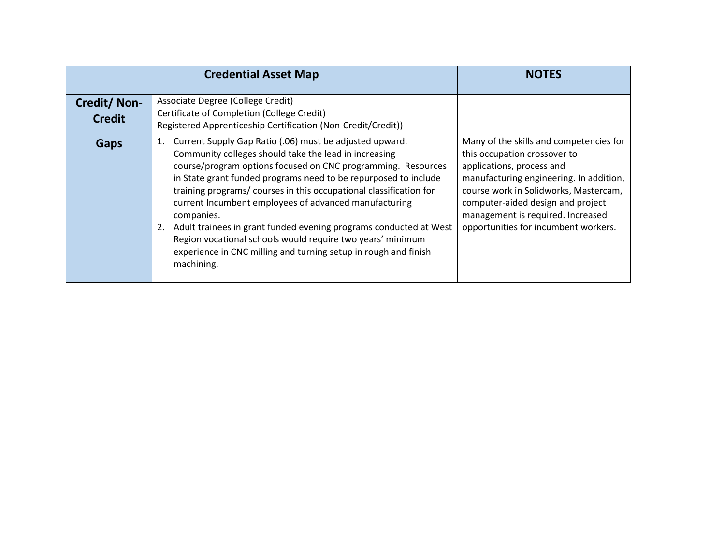|                              | <b>Credential Asset Map</b>                                                                                                                                                                                                                                                                                                                                                                                                                                                                                                                                                                                                | <b>NOTES</b>                                                                                                                                                                                                                                                                                               |
|------------------------------|----------------------------------------------------------------------------------------------------------------------------------------------------------------------------------------------------------------------------------------------------------------------------------------------------------------------------------------------------------------------------------------------------------------------------------------------------------------------------------------------------------------------------------------------------------------------------------------------------------------------------|------------------------------------------------------------------------------------------------------------------------------------------------------------------------------------------------------------------------------------------------------------------------------------------------------------|
| Credit/Non-<br><b>Credit</b> | Associate Degree (College Credit)<br>Certificate of Completion (College Credit)<br>Registered Apprenticeship Certification (Non-Credit/Credit))                                                                                                                                                                                                                                                                                                                                                                                                                                                                            |                                                                                                                                                                                                                                                                                                            |
| Gaps                         | Current Supply Gap Ratio (.06) must be adjusted upward.<br>1.<br>Community colleges should take the lead in increasing<br>course/program options focused on CNC programming. Resources<br>in State grant funded programs need to be repurposed to include<br>training programs/ courses in this occupational classification for<br>current Incumbent employees of advanced manufacturing<br>companies.<br>Adult trainees in grant funded evening programs conducted at West<br>Region vocational schools would require two years' minimum<br>experience in CNC milling and turning setup in rough and finish<br>machining. | Many of the skills and competencies for<br>this occupation crossover to<br>applications, process and<br>manufacturing engineering. In addition,<br>course work in Solidworks, Mastercam,<br>computer-aided design and project<br>management is required. Increased<br>opportunities for incumbent workers. |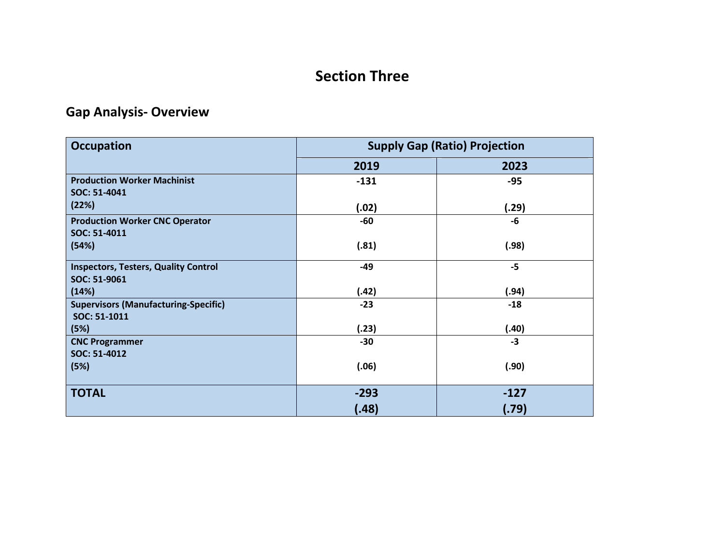### **Section Three**

## **Gap Analysis- Overview**

| <b>Occupation</b>                           | <b>Supply Gap (Ratio) Projection</b> |        |  |  |
|---------------------------------------------|--------------------------------------|--------|--|--|
|                                             | 2019                                 | 2023   |  |  |
| <b>Production Worker Machinist</b>          | $-131$                               | $-95$  |  |  |
| SOC: 51-4041                                |                                      |        |  |  |
| (22%)                                       | (.02)                                | (.29)  |  |  |
| <b>Production Worker CNC Operator</b>       | -60                                  | -6     |  |  |
| SOC: 51-4011                                |                                      |        |  |  |
| (54%)                                       | (.81)                                | (.98)  |  |  |
| <b>Inspectors, Testers, Quality Control</b> | -49                                  | $-5$   |  |  |
| SOC: 51-9061                                |                                      |        |  |  |
| (14%)                                       | (.42)                                | (.94)  |  |  |
| <b>Supervisors (Manufacturing-Specific)</b> | $-23$                                | $-18$  |  |  |
| SOC: 51-1011                                |                                      |        |  |  |
| (5%)                                        | (.23)                                | (.40)  |  |  |
| <b>CNC Programmer</b>                       | $-30$                                | $-3$   |  |  |
| SOC: 51-4012                                |                                      |        |  |  |
| (5%)                                        | (.06)                                | (.90)  |  |  |
|                                             |                                      |        |  |  |
| <b>TOTAL</b>                                | $-293$                               | $-127$ |  |  |
|                                             | (.48)                                | (.79)  |  |  |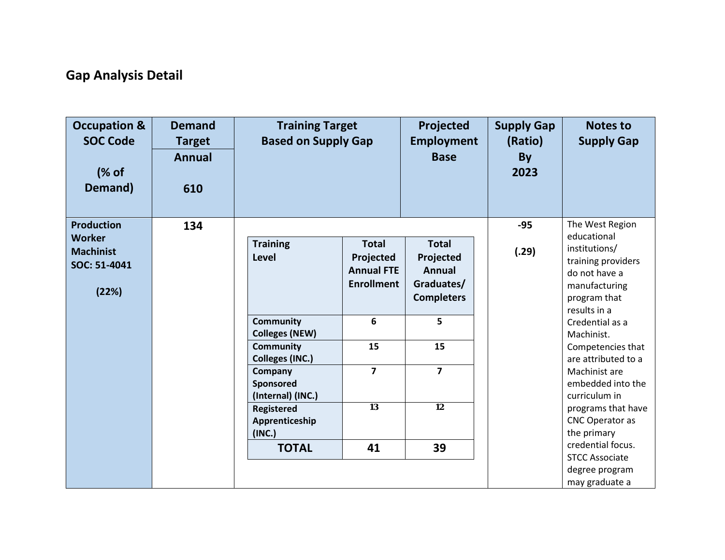## **Gap Analysis Detail**

| <b>Occupation &amp;</b><br><b>SOC Code</b><br>(% of<br>Demand)           | <b>Demand</b><br><b>Target</b><br><b>Annual</b><br>610 | <b>Training Target</b><br><b>Based on Supply Gap</b>                                                                                                                                           |                                                                     | Projected<br><b>Employment</b><br><b>Base</b>                                 | <b>Supply Gap</b><br>(Ratio)<br>By<br>2023 | <b>Notes to</b><br><b>Supply Gap</b>                                                                                                                                                                                                                   |
|--------------------------------------------------------------------------|--------------------------------------------------------|------------------------------------------------------------------------------------------------------------------------------------------------------------------------------------------------|---------------------------------------------------------------------|-------------------------------------------------------------------------------|--------------------------------------------|--------------------------------------------------------------------------------------------------------------------------------------------------------------------------------------------------------------------------------------------------------|
| <b>Production</b><br>Worker<br><b>Machinist</b><br>SOC: 51-4041<br>(22%) | 134                                                    | <b>Training</b><br>Level                                                                                                                                                                       | <b>Total</b><br>Projected<br><b>Annual FTE</b><br><b>Enrollment</b> | <b>Total</b><br>Projected<br><b>Annual</b><br>Graduates/<br><b>Completers</b> | $-95$<br>(.29)                             | The West Region<br>educational<br>institutions/<br>training providers<br>do not have a<br>manufacturing<br>program that                                                                                                                                |
|                                                                          |                                                        | <b>Community</b><br><b>Colleges (NEW)</b><br><b>Community</b><br><b>Colleges (INC.)</b><br>Company<br>Sponsored<br>(Internal) (INC.)<br>Registered<br>Apprenticeship<br>(INC.)<br><b>TOTAL</b> | 6<br>15<br>$\overline{7}$<br>13<br>41                               | 5<br>15<br>$\overline{7}$<br>$\overline{12}$<br>39                            |                                            | results in a<br>Credential as a<br>Machinist.<br>Competencies that<br>are attributed to a<br>Machinist are<br>embedded into the<br>curriculum in<br>programs that have<br>CNC Operator as<br>the primary<br>credential focus.<br><b>STCC Associate</b> |
|                                                                          |                                                        |                                                                                                                                                                                                |                                                                     |                                                                               |                                            | degree program<br>may graduate a                                                                                                                                                                                                                       |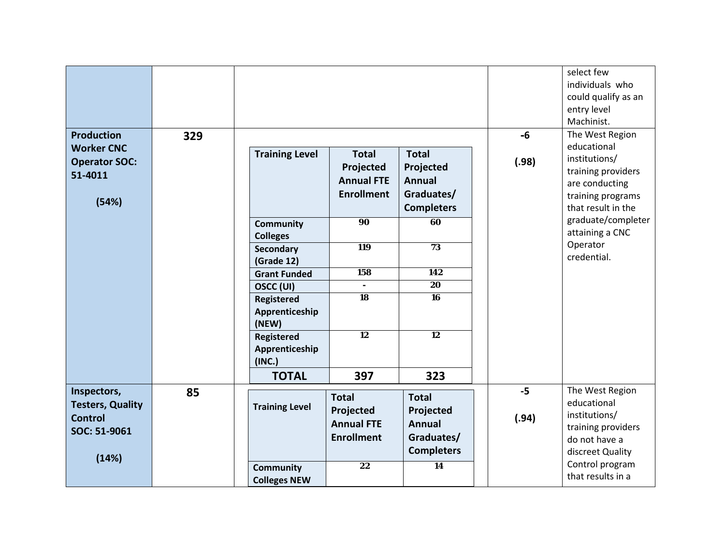| <b>Production</b>                                             | 329 |                                                         |                                                                     |                                                                               | $-6$          | select few<br>individuals who<br>could qualify as an<br>entry level<br>Machinist.<br>The West Region            |
|---------------------------------------------------------------|-----|---------------------------------------------------------|---------------------------------------------------------------------|-------------------------------------------------------------------------------|---------------|-----------------------------------------------------------------------------------------------------------------|
| <b>Worker CNC</b><br><b>Operator SOC:</b><br>51-4011<br>(54%) |     | <b>Training Level</b>                                   | <b>Total</b><br>Projected<br><b>Annual FTE</b><br><b>Enrollment</b> | <b>Total</b><br>Projected<br><b>Annual</b><br>Graduates/<br><b>Completers</b> | (.98)         | educational<br>institutions/<br>training providers<br>are conducting<br>training programs<br>that result in the |
|                                                               |     | <b>Community</b><br><b>Colleges</b><br><b>Secondary</b> | $\overline{90}$<br><b>119</b>                                       | 60<br>73                                                                      |               | graduate/completer<br>attaining a CNC<br>Operator<br>credential.                                                |
|                                                               |     | (Grade 12)<br><b>Grant Funded</b><br>OSCC (UI)          | 158                                                                 | 142<br>$\overline{20}$                                                        |               |                                                                                                                 |
|                                                               |     | <b>Registered</b><br>Apprenticeship<br>(NEW)            | $\overline{18}$                                                     | 16                                                                            |               |                                                                                                                 |
|                                                               |     | <b>Registered</b><br>Apprenticeship<br>(INC.)           | 12                                                                  | 12                                                                            |               |                                                                                                                 |
|                                                               |     | <b>TOTAL</b>                                            | 397                                                                 | 323                                                                           |               |                                                                                                                 |
| Inspectors,<br><b>Testers, Quality</b><br><b>Control</b>      | 85  | <b>Training Level</b>                                   | <b>Total</b><br>Projected                                           | <b>Total</b><br>Projected                                                     | $-5$<br>(.94) | The West Region<br>educational<br>institutions/                                                                 |
| SOC: 51-9061                                                  |     |                                                         | <b>Annual FTE</b><br><b>Enrollment</b>                              | <b>Annual</b><br>Graduates/<br><b>Completers</b>                              |               | training providers<br>do not have a<br>discreet Quality                                                         |
| (14%)                                                         |     | <b>Community</b><br><b>Colleges NEW</b>                 | 22                                                                  | $\overline{14}$                                                               |               | Control program<br>that results in a                                                                            |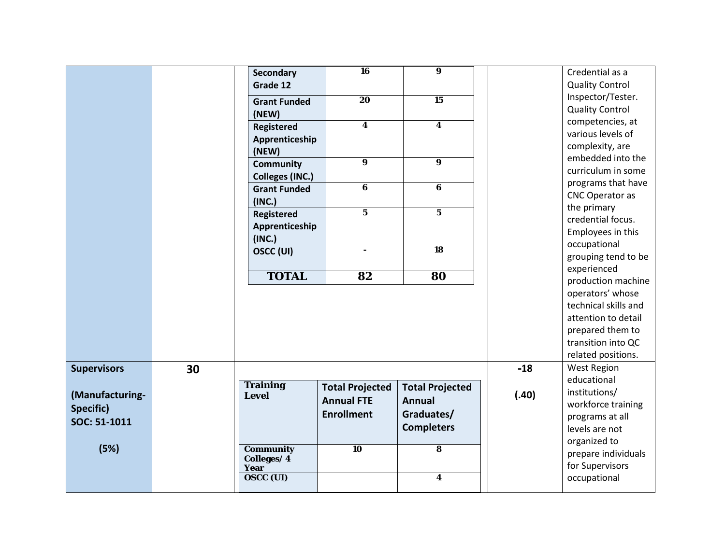|                    |    | Secondary              | <b>16</b>               | $\overline{\mathbf{9}}$ |       | Credential as a                         |
|--------------------|----|------------------------|-------------------------|-------------------------|-------|-----------------------------------------|
|                    |    | Grade 12               |                         |                         |       | <b>Quality Control</b>                  |
|                    |    | <b>Grant Funded</b>    | $\overline{20}$         | $\overline{15}$         |       | Inspector/Tester.                       |
|                    |    | (NEW)                  |                         |                         |       | <b>Quality Control</b>                  |
|                    |    | Registered             | $\boldsymbol{4}$        | $\overline{\mathbf{4}}$ |       | competencies, at                        |
|                    |    | Apprenticeship         |                         |                         |       | various levels of                       |
|                    |    | (NEW)                  |                         |                         |       | complexity, are                         |
|                    |    | <b>Community</b>       | $\overline{\mathbf{9}}$ | $\overline{9}$          |       | embedded into the<br>curriculum in some |
|                    |    | <b>Colleges (INC.)</b> |                         |                         |       |                                         |
|                    |    | <b>Grant Funded</b>    | 6                       | 6                       |       | programs that have<br>CNC Operator as   |
|                    |    | (INC.)                 |                         |                         |       | the primary                             |
|                    |    | Registered             | $\overline{5}$          | $\overline{5}$          |       | credential focus.                       |
|                    |    | Apprenticeship         |                         |                         |       | Employees in this                       |
|                    |    | (INC.)                 |                         |                         |       | occupational                            |
|                    |    | OSCC (UI)              | $\mathbf{r}$            | $\overline{18}$         |       | grouping tend to be                     |
|                    |    |                        |                         |                         |       | experienced                             |
|                    |    | <b>TOTAL</b>           | 82                      | 80                      |       | production machine                      |
|                    |    |                        |                         |                         |       | operators' whose                        |
|                    |    |                        |                         |                         |       | technical skills and                    |
|                    |    |                        |                         |                         |       | attention to detail                     |
|                    |    |                        |                         |                         |       | prepared them to                        |
|                    |    |                        |                         |                         |       | transition into QC                      |
|                    |    |                        |                         |                         |       | related positions.                      |
| <b>Supervisors</b> | 30 |                        |                         |                         | $-18$ | <b>West Region</b>                      |
|                    |    | <b>Training</b>        |                         |                         |       | educational                             |
| (Manufacturing-    |    | <b>Level</b>           | <b>Total Projected</b>  | <b>Total Projected</b>  | (.40) | institutions/                           |
| Specific)          |    |                        | <b>Annual FTE</b>       | <b>Annual</b>           |       | workforce training                      |
| SOC: 51-1011       |    |                        | <b>Enrollment</b>       | Graduates/              |       | programs at all                         |
|                    |    |                        |                         | <b>Completers</b>       |       | levels are not                          |
| (5%)               |    | <b>Community</b>       | $\overline{10}$         | $\overline{\mathbf{8}}$ |       | organized to                            |
|                    |    | Colleges/4             |                         |                         |       | prepare individuals                     |
|                    |    | Year                   |                         |                         |       | for Supervisors                         |
|                    |    | <b>OSCC (UI)</b>       |                         | $\overline{\mathbf{4}}$ |       | occupational                            |
|                    |    |                        |                         |                         |       |                                         |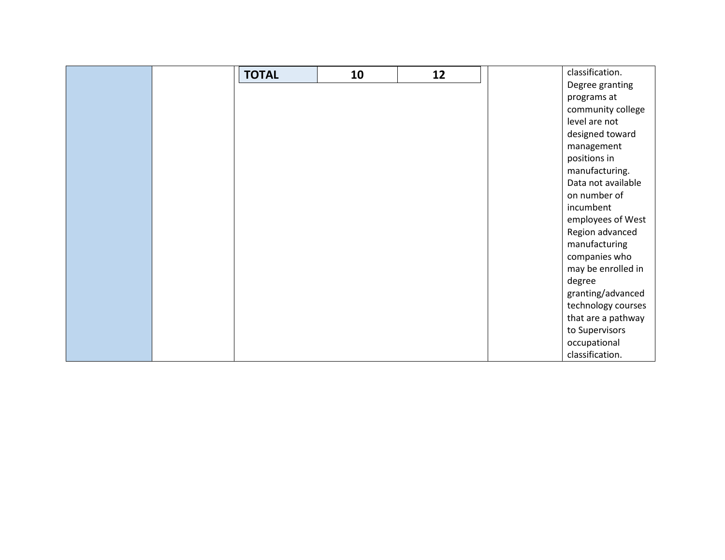|  | <b>TOTAL</b> | 10 | 12 | classification.    |
|--|--------------|----|----|--------------------|
|  |              |    |    | Degree granting    |
|  |              |    |    | programs at        |
|  |              |    |    | community college  |
|  |              |    |    | level are not      |
|  |              |    |    | designed toward    |
|  |              |    |    | management         |
|  |              |    |    | positions in       |
|  |              |    |    | manufacturing.     |
|  |              |    |    | Data not available |
|  |              |    |    | on number of       |
|  |              |    |    | incumbent          |
|  |              |    |    | employees of West  |
|  |              |    |    | Region advanced    |
|  |              |    |    | manufacturing      |
|  |              |    |    | companies who      |
|  |              |    |    | may be enrolled in |
|  |              |    |    | degree             |
|  |              |    |    | granting/advanced  |
|  |              |    |    | technology courses |
|  |              |    |    | that are a pathway |
|  |              |    |    | to Supervisors     |
|  |              |    |    | occupational       |
|  |              |    |    | classification.    |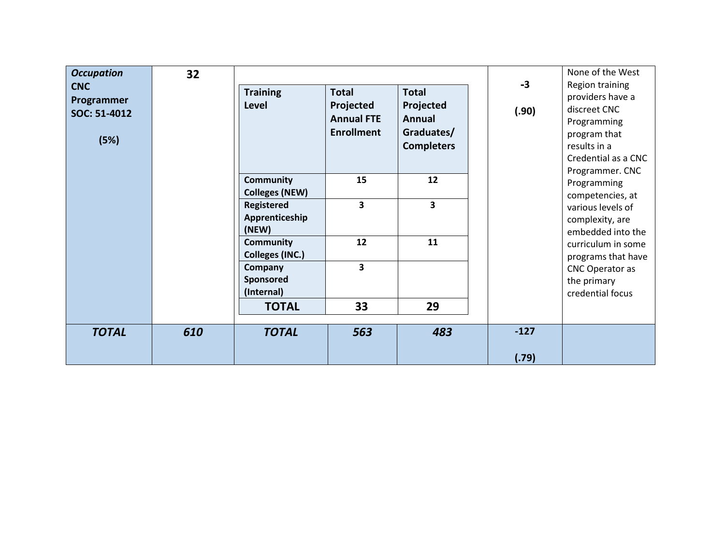| <b>Occupation</b><br><b>CNC</b><br>Programmer<br>SOC: 51-4012<br>(5%) | 32  | <b>Training</b><br>Level                     | <b>Total</b><br>Projected<br><b>Annual FTE</b><br><b>Enrollment</b> | <b>Total</b><br>Projected<br><b>Annual</b><br>Graduates/<br><b>Completers</b> | $-3$<br>(.90) | None of the West<br>Region training<br>providers have a<br>discreet CNC<br>Programming<br>program that<br>results in a<br>Credential as a CNC<br>Programmer. CNC |
|-----------------------------------------------------------------------|-----|----------------------------------------------|---------------------------------------------------------------------|-------------------------------------------------------------------------------|---------------|------------------------------------------------------------------------------------------------------------------------------------------------------------------|
|                                                                       |     | <b>Community</b><br><b>Colleges (NEW)</b>    | 15                                                                  | 12                                                                            |               | Programming<br>competencies, at                                                                                                                                  |
|                                                                       |     | <b>Registered</b><br>Apprenticeship<br>(NEW) | $\overline{\mathbf{3}}$                                             | 3                                                                             |               | various levels of<br>complexity, are<br>embedded into the                                                                                                        |
|                                                                       |     | <b>Community</b><br><b>Colleges (INC.)</b>   | 12                                                                  | 11                                                                            |               | curriculum in some<br>programs that have                                                                                                                         |
|                                                                       |     | Company<br>Sponsored<br>(Internal)           | $\overline{\mathbf{3}}$                                             |                                                                               |               | CNC Operator as<br>the primary<br>credential focus                                                                                                               |
|                                                                       |     | <b>TOTAL</b>                                 | 33                                                                  | 29                                                                            |               |                                                                                                                                                                  |
| <b>TOTAL</b>                                                          | 610 | <b>TOTAL</b>                                 | 563                                                                 | 483                                                                           | $-127$        |                                                                                                                                                                  |
|                                                                       |     |                                              |                                                                     |                                                                               | (.79)         |                                                                                                                                                                  |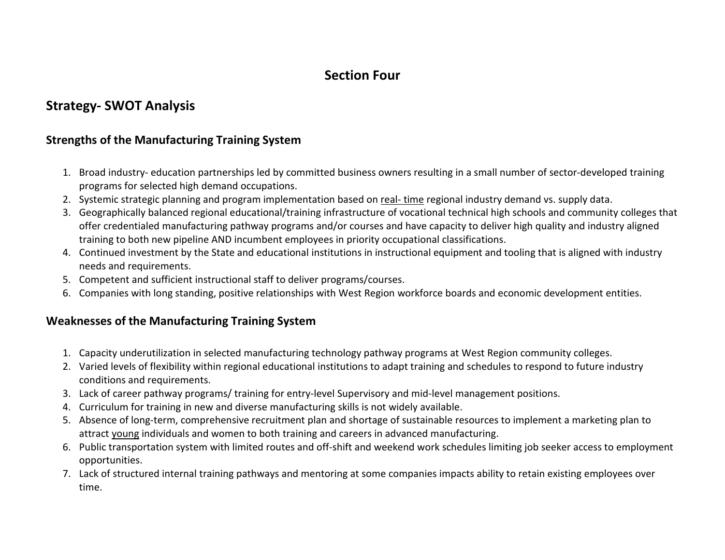#### **Section Four**

#### **Strategy- SWOT Analysis**

#### **Strengths of the Manufacturing Training System**

- 1. Broad industry- education partnerships led by committed business owners resulting in a small number of sector-developed training programs for selected high demand occupations.
- 2. Systemic strategic planning and program implementation based on real- time regional industry demand vs. supply data.
- 3. Geographically balanced regional educational/training infrastructure of vocational technical high schools and community colleges that offer credentialed manufacturing pathway programs and/or courses and have capacity to deliver high quality and industry aligned training to both new pipeline AND incumbent employees in priority occupational classifications.
- 4. Continued investment by the State and educational institutions in instructional equipment and tooling that is aligned with industry needs and requirements.
- 5. Competent and sufficient instructional staff to deliver programs/courses.
- 6. Companies with long standing, positive relationships with West Region workforce boards and economic development entities.

#### **Weaknesses of the Manufacturing Training System**

- 1. Capacity underutilization in selected manufacturing technology pathway programs at West Region community colleges.
- 2. Varied levels of flexibility within regional educational institutions to adapt training and schedules to respond to future industry conditions and requirements.
- 3. Lack of career pathway programs/ training for entry-level Supervisory and mid-level management positions.
- 4. Curriculum for training in new and diverse manufacturing skills is not widely available.
- 5. Absence of long-term, comprehensive recruitment plan and shortage of sustainable resources to implement a marketing plan to attract young individuals and women to both training and careers in advanced manufacturing.
- 6. Public transportation system with limited routes and off-shift and weekend work schedules limiting job seeker access to employment opportunities.
- 7. Lack of structured internal training pathways and mentoring at some companies impacts ability to retain existing employees over time.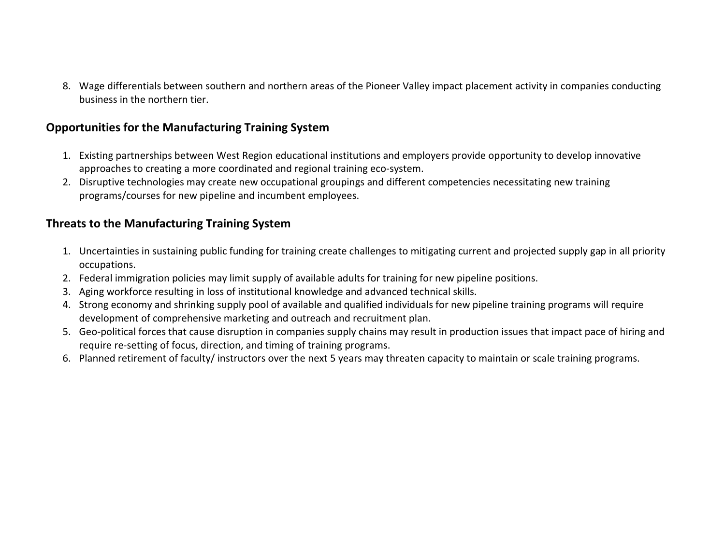8. Wage differentials between southern and northern areas of the Pioneer Valley impact placement activity in companies conducting business in the northern tier.

#### **Opportunities for the Manufacturing Training System**

- 1. Existing partnerships between West Region educational institutions and employers provide opportunity to develop innovative approaches to creating a more coordinated and regional training eco-system.
- 2. Disruptive technologies may create new occupational groupings and different competencies necessitating new training programs/courses for new pipeline and incumbent employees.

#### **Threats to the Manufacturing Training System**

- 1. Uncertainties in sustaining public funding for training create challenges to mitigating current and projected supply gap in all priority occupations.
- 2. Federal immigration policies may limit supply of available adults for training for new pipeline positions.
- 3. Aging workforce resulting in loss of institutional knowledge and advanced technical skills.
- 4. Strong economy and shrinking supply pool of available and qualified individuals for new pipeline training programs will require development of comprehensive marketing and outreach and recruitment plan.
- 5. Geo-political forces that cause disruption in companies supply chains may result in production issues that impact pace of hiring and require re-setting of focus, direction, and timing of training programs.
- 6. Planned retirement of faculty/ instructors over the next 5 years may threaten capacity to maintain or scale training programs.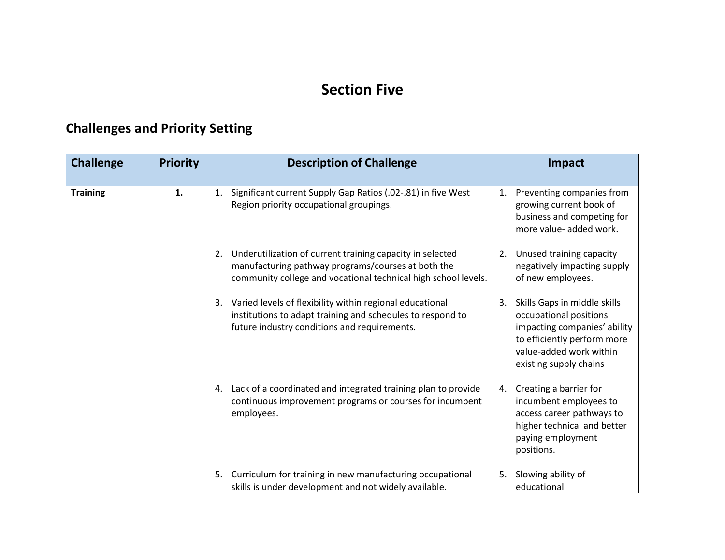#### **Section Five**

## **Challenges and Priority Setting**

| <b>Challenge</b> | <b>Priority</b> | <b>Description of Challenge</b>                                                                                                                                                         | Impact                                                                                                                                                                           |  |  |
|------------------|-----------------|-----------------------------------------------------------------------------------------------------------------------------------------------------------------------------------------|----------------------------------------------------------------------------------------------------------------------------------------------------------------------------------|--|--|
| <b>Training</b>  | 1.              | Significant current Supply Gap Ratios (.02-.81) in five West<br>1.<br>Region priority occupational groupings.                                                                           | Preventing companies from<br>1.<br>growing current book of<br>business and competing for<br>more value- added work.                                                              |  |  |
|                  |                 | Underutilization of current training capacity in selected<br>2.<br>manufacturing pathway programs/courses at both the<br>community college and vocational technical high school levels. | Unused training capacity<br>2.<br>negatively impacting supply<br>of new employees.                                                                                               |  |  |
|                  |                 | Varied levels of flexibility within regional educational<br>3.<br>institutions to adapt training and schedules to respond to<br>future industry conditions and requirements.            | Skills Gaps in middle skills<br>3.<br>occupational positions<br>impacting companies' ability<br>to efficiently perform more<br>value-added work within<br>existing supply chains |  |  |
|                  |                 | Lack of a coordinated and integrated training plan to provide<br>4.<br>continuous improvement programs or courses for incumbent<br>employees.                                           | Creating a barrier for<br>4.<br>incumbent employees to<br>access career pathways to<br>higher technical and better<br>paying employment<br>positions.                            |  |  |
|                  |                 | Curriculum for training in new manufacturing occupational<br>5.<br>skills is under development and not widely available.                                                                | Slowing ability of<br>5.<br>educational                                                                                                                                          |  |  |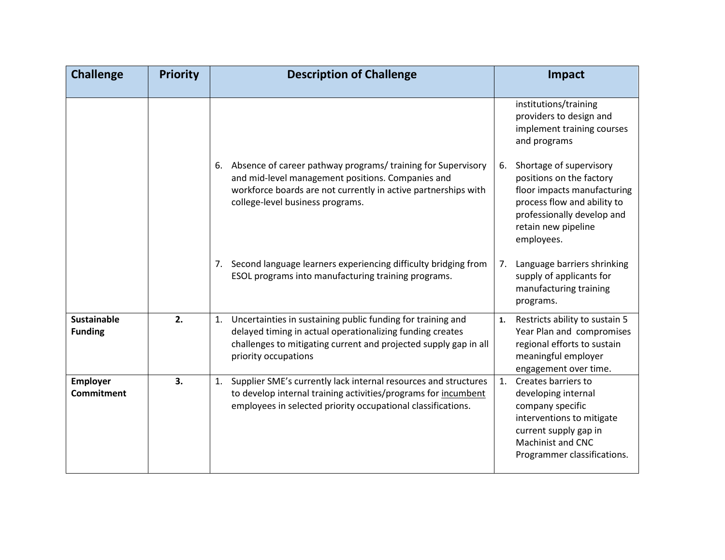| <b>Challenge</b>                     | <b>Priority</b> | <b>Description of Challenge</b>                                                                                                                                                                                           | Impact                                                                                                                                                                                     |
|--------------------------------------|-----------------|---------------------------------------------------------------------------------------------------------------------------------------------------------------------------------------------------------------------------|--------------------------------------------------------------------------------------------------------------------------------------------------------------------------------------------|
|                                      |                 |                                                                                                                                                                                                                           | institutions/training<br>providers to design and<br>implement training courses<br>and programs                                                                                             |
|                                      |                 | 6. Absence of career pathway programs/training for Supervisory<br>and mid-level management positions. Companies and<br>workforce boards are not currently in active partnerships with<br>college-level business programs. | Shortage of supervisory<br>6.<br>positions on the factory<br>floor impacts manufacturing<br>process flow and ability to<br>professionally develop and<br>retain new pipeline<br>employees. |
|                                      |                 | 7. Second language learners experiencing difficulty bridging from<br>ESOL programs into manufacturing training programs.                                                                                                  | Language barriers shrinking<br>7.<br>supply of applicants for<br>manufacturing training<br>programs.                                                                                       |
| <b>Sustainable</b><br><b>Funding</b> | 2.              | 1. Uncertainties in sustaining public funding for training and<br>delayed timing in actual operationalizing funding creates<br>challenges to mitigating current and projected supply gap in all<br>priority occupations   | Restricts ability to sustain 5<br>1.<br>Year Plan and compromises<br>regional efforts to sustain<br>meaningful employer<br>engagement over time.                                           |
| <b>Employer</b><br><b>Commitment</b> | 3.              | Supplier SME's currently lack internal resources and structures<br>1.<br>to develop internal training activities/programs for incumbent<br>employees in selected priority occupational classifications.                   | Creates barriers to<br>1.<br>developing internal<br>company specific<br>interventions to mitigate<br>current supply gap in<br><b>Machinist and CNC</b><br>Programmer classifications.      |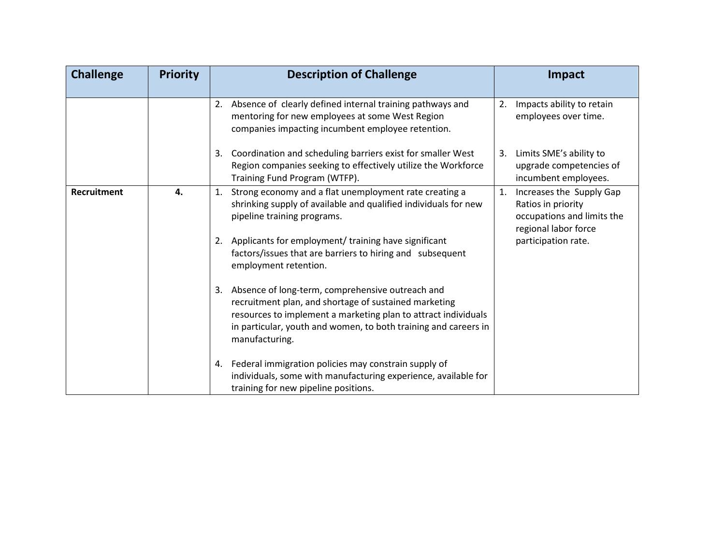| <b>Challenge</b> | <b>Priority</b> | <b>Description of Challenge</b>                                                                                                                                                                                                                                        | Impact                                                                                                     |
|------------------|-----------------|------------------------------------------------------------------------------------------------------------------------------------------------------------------------------------------------------------------------------------------------------------------------|------------------------------------------------------------------------------------------------------------|
|                  |                 | Absence of clearly defined internal training pathways and<br>2.<br>mentoring for new employees at some West Region<br>companies impacting incumbent employee retention.                                                                                                | Impacts ability to retain<br>2.<br>employees over time.                                                    |
|                  |                 | Coordination and scheduling barriers exist for smaller West<br>3.<br>Region companies seeking to effectively utilize the Workforce<br>Training Fund Program (WTFP).                                                                                                    | Limits SME's ability to<br>3.<br>upgrade competencies of<br>incumbent employees.                           |
| Recruitment      | 4.              | Strong economy and a flat unemployment rate creating a<br>1.<br>shrinking supply of available and qualified individuals for new<br>pipeline training programs.                                                                                                         | 1.<br>Increases the Supply Gap<br>Ratios in priority<br>occupations and limits the<br>regional labor force |
|                  |                 | Applicants for employment/ training have significant<br>2.<br>factors/issues that are barriers to hiring and subsequent<br>employment retention.                                                                                                                       | participation rate.                                                                                        |
|                  |                 | Absence of long-term, comprehensive outreach and<br>3.<br>recruitment plan, and shortage of sustained marketing<br>resources to implement a marketing plan to attract individuals<br>in particular, youth and women, to both training and careers in<br>manufacturing. |                                                                                                            |
|                  |                 | 4. Federal immigration policies may constrain supply of<br>individuals, some with manufacturing experience, available for<br>training for new pipeline positions.                                                                                                      |                                                                                                            |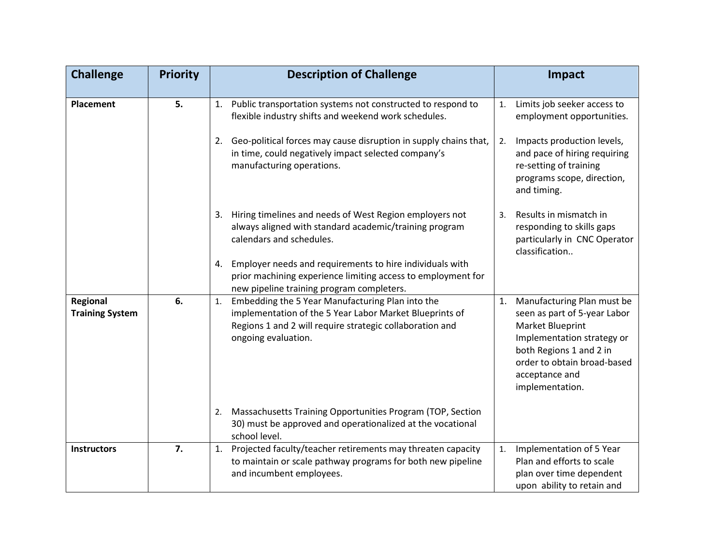| <b>Challenge</b>                   | <b>Priority</b> | <b>Description of Challenge</b>                                                                                                                                                                      | Impact                                                                                                                                                                                                            |
|------------------------------------|-----------------|------------------------------------------------------------------------------------------------------------------------------------------------------------------------------------------------------|-------------------------------------------------------------------------------------------------------------------------------------------------------------------------------------------------------------------|
| <b>Placement</b>                   | 5.              | 1. Public transportation systems not constructed to respond to<br>flexible industry shifts and weekend work schedules.                                                                               | Limits job seeker access to<br>1.<br>employment opportunities.                                                                                                                                                    |
|                                    |                 | Geo-political forces may cause disruption in supply chains that,<br>2.<br>in time, could negatively impact selected company's<br>manufacturing operations.                                           | Impacts production levels,<br>2.<br>and pace of hiring requiring<br>re-setting of training<br>programs scope, direction,<br>and timing.                                                                           |
|                                    |                 | 3. Hiring timelines and needs of West Region employers not<br>always aligned with standard academic/training program<br>calendars and schedules.                                                     | Results in mismatch in<br>3.<br>responding to skills gaps<br>particularly in CNC Operator<br>classification                                                                                                       |
|                                    |                 | Employer needs and requirements to hire individuals with<br>4.<br>prior machining experience limiting access to employment for<br>new pipeline training program completers.                          |                                                                                                                                                                                                                   |
| Regional<br><b>Training System</b> | 6.              | Embedding the 5 Year Manufacturing Plan into the<br>1.<br>implementation of the 5 Year Labor Market Blueprints of<br>Regions 1 and 2 will require strategic collaboration and<br>ongoing evaluation. | Manufacturing Plan must be<br>1.<br>seen as part of 5-year Labor<br>Market Blueprint<br>Implementation strategy or<br>both Regions 1 and 2 in<br>order to obtain broad-based<br>acceptance and<br>implementation. |
|                                    |                 | Massachusetts Training Opportunities Program (TOP, Section<br>2.<br>30) must be approved and operationalized at the vocational<br>school level.                                                      |                                                                                                                                                                                                                   |
| <b>Instructors</b>                 | 7.              | Projected faculty/teacher retirements may threaten capacity<br>1.<br>to maintain or scale pathway programs for both new pipeline<br>and incumbent employees.                                         | Implementation of 5 Year<br>1.<br>Plan and efforts to scale<br>plan over time dependent<br>upon ability to retain and                                                                                             |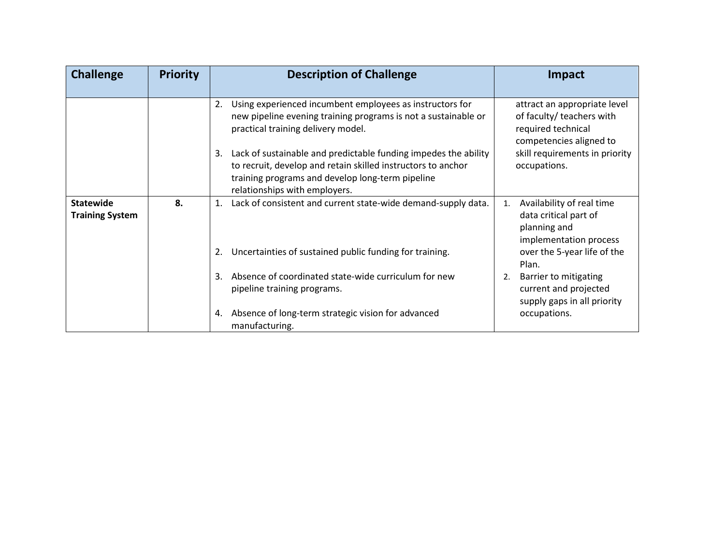| <b>Challenge</b>                           | <b>Priority</b> | <b>Description of Challenge</b>                                                                                                                                                                                                                 | <b>Impact</b>                                                                                                                                |
|--------------------------------------------|-----------------|-------------------------------------------------------------------------------------------------------------------------------------------------------------------------------------------------------------------------------------------------|----------------------------------------------------------------------------------------------------------------------------------------------|
|                                            |                 | Using experienced incumbent employees as instructors for<br>2.<br>new pipeline evening training programs is not a sustainable or<br>practical training delivery model.<br>Lack of sustainable and predictable funding impedes the ability<br>3. | attract an appropriate level<br>of faculty/ teachers with<br>required technical<br>competencies aligned to<br>skill requirements in priority |
|                                            |                 | to recruit, develop and retain skilled instructors to anchor<br>training programs and develop long-term pipeline<br>relationships with employers.                                                                                               | occupations.                                                                                                                                 |
| <b>Statewide</b><br><b>Training System</b> | 8.              | Lack of consistent and current state-wide demand-supply data.<br>1.                                                                                                                                                                             | Availability of real time<br>1.<br>data critical part of<br>planning and<br>implementation process                                           |
|                                            |                 | Uncertainties of sustained public funding for training.<br>2.                                                                                                                                                                                   | over the 5-year life of the<br>Plan.                                                                                                         |
|                                            |                 | Absence of coordinated state-wide curriculum for new<br>3.<br>pipeline training programs.                                                                                                                                                       | Barrier to mitigating<br>2.<br>current and projected<br>supply gaps in all priority                                                          |
|                                            |                 | Absence of long-term strategic vision for advanced<br>4.<br>manufacturing.                                                                                                                                                                      | occupations.                                                                                                                                 |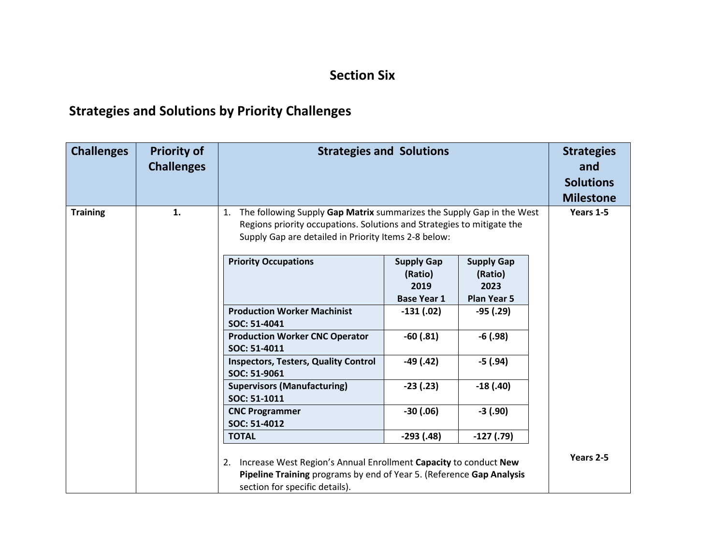#### **Section Six**

## **Strategies and Solutions by Priority Challenges**

| <b>Challenges</b> | <b>Priority of</b><br><b>Challenges</b>      | <b>Strategies and Solutions</b>                                                                                                                                                                               | <b>Strategies</b><br>and<br><b>Solutions</b>                       |                                                            |             |            |  |
|-------------------|----------------------------------------------|---------------------------------------------------------------------------------------------------------------------------------------------------------------------------------------------------------------|--------------------------------------------------------------------|------------------------------------------------------------|-------------|------------|--|
| <b>Training</b>   | 1.                                           | The following Supply Gap Matrix summarizes the Supply Gap in the West<br>1.<br>Regions priority occupations. Solutions and Strategies to mitigate the<br>Supply Gap are detailed in Priority Items 2-8 below: | <b>Milestone</b><br>Years 1-5                                      |                                                            |             |            |  |
|                   |                                              | <b>Priority Occupations</b>                                                                                                                                                                                   | <b>Supply Gap</b><br>(Ratio)<br>2019<br><b>Base Year 1</b>         | <b>Supply Gap</b><br>(Ratio)<br>2023<br><b>Plan Year 5</b> |             |            |  |
|                   |                                              | <b>Production Worker Machinist</b><br>SOC: 51-4041                                                                                                                                                            | $-131(02)$                                                         | $-95(0.29)$                                                |             |            |  |
|                   |                                              | SOC: 51-4011                                                                                                                                                                                                  | $-60(0.81)$<br>$-6(0.98)$<br><b>Production Worker CNC Operator</b> |                                                            |             |            |  |
|                   |                                              | <b>Inspectors, Testers, Quality Control</b><br>SOC: 51-9061                                                                                                                                                   | $-49(0.42)$                                                        | $-5(0.94)$                                                 |             |            |  |
|                   |                                              | <b>Supervisors (Manufacturing)</b><br>SOC: 51-1011                                                                                                                                                            | $-23(.23)$                                                         | $-18(0.40)$                                                |             |            |  |
|                   |                                              |                                                                                                                                                                                                               |                                                                    | <b>CNC Programmer</b><br>SOC: 51-4012                      | $-30(0.06)$ | $-3(0.90)$ |  |
|                   | $-127(0.79)$<br>$-293(0.48)$<br><b>TOTAL</b> |                                                                                                                                                                                                               |                                                                    |                                                            |             |            |  |
|                   |                                              | Increase West Region's Annual Enrollment Capacity to conduct New<br>2.<br>Pipeline Training programs by end of Year 5. (Reference Gap Analysis<br>section for specific details).                              | Years 2-5                                                          |                                                            |             |            |  |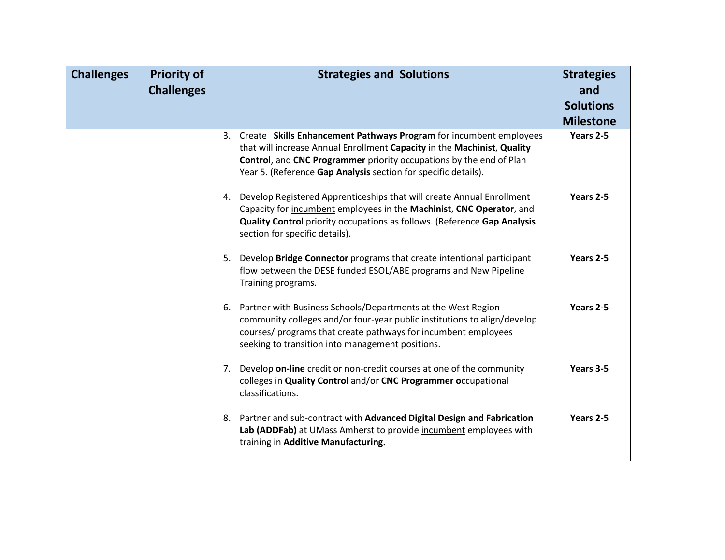| <b>Challenges</b> | <b>Priority of</b><br><b>Challenges</b> | <b>Strategies and Solutions</b>                                                                                                                                                                                                                                                           | <b>Strategies</b><br>and<br><b>Solutions</b><br><b>Milestone</b> |
|-------------------|-----------------------------------------|-------------------------------------------------------------------------------------------------------------------------------------------------------------------------------------------------------------------------------------------------------------------------------------------|------------------------------------------------------------------|
|                   |                                         | 3. Create Skills Enhancement Pathways Program for incumbent employees<br>that will increase Annual Enrollment Capacity in the Machinist, Quality<br>Control, and CNC Programmer priority occupations by the end of Plan<br>Year 5. (Reference Gap Analysis section for specific details). | Years 2-5                                                        |
|                   |                                         | 4. Develop Registered Apprenticeships that will create Annual Enrollment<br>Capacity for incumbent employees in the Machinist, CNC Operator, and<br><b>Quality Control</b> priority occupations as follows. (Reference Gap Analysis<br>section for specific details).                     | Years 2-5                                                        |
|                   |                                         | 5. Develop Bridge Connector programs that create intentional participant<br>flow between the DESE funded ESOL/ABE programs and New Pipeline<br>Training programs.                                                                                                                         | Years 2-5                                                        |
|                   |                                         | 6. Partner with Business Schools/Departments at the West Region<br>community colleges and/or four-year public institutions to align/develop<br>courses/ programs that create pathways for incumbent employees<br>seeking to transition into management positions.                         | Years 2-5                                                        |
|                   |                                         | 7. Develop on-line credit or non-credit courses at one of the community<br>colleges in Quality Control and/or CNC Programmer occupational<br>classifications.                                                                                                                             | Years 3-5                                                        |
|                   |                                         | 8. Partner and sub-contract with Advanced Digital Design and Fabrication<br>Lab (ADDFab) at UMass Amherst to provide incumbent employees with<br>training in Additive Manufacturing.                                                                                                      | Years 2-5                                                        |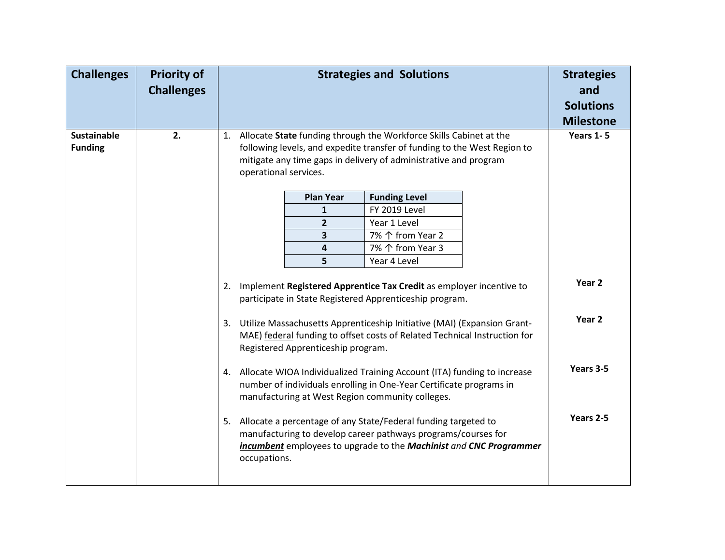| <b>Challenges</b>                                                                                                                                                                                     | <b>Priority of</b><br><b>Challenges</b> | <b>Strategies and Solutions</b> |                                                                                                                                                                                                                                             |                                                                                                                                                                                                          | <b>Strategies</b><br>and<br><b>Solutions</b><br><b>Milestone</b><br>Years 1-5 |                   |  |
|-------------------------------------------------------------------------------------------------------------------------------------------------------------------------------------------------------|-----------------------------------------|---------------------------------|---------------------------------------------------------------------------------------------------------------------------------------------------------------------------------------------------------------------------------------------|----------------------------------------------------------------------------------------------------------------------------------------------------------------------------------------------------------|-------------------------------------------------------------------------------|-------------------|--|
| <b>Sustainable</b><br><b>Funding</b>                                                                                                                                                                  | 2.                                      | 1.                              | Allocate State funding through the Workforce Skills Cabinet at the<br>following levels, and expedite transfer of funding to the West Region to<br>mitigate any time gaps in delivery of administrative and program<br>operational services. |                                                                                                                                                                                                          |                                                                               |                   |  |
|                                                                                                                                                                                                       |                                         |                                 | <b>Plan Year</b>                                                                                                                                                                                                                            | <b>Funding Level</b>                                                                                                                                                                                     |                                                                               |                   |  |
|                                                                                                                                                                                                       |                                         |                                 | $\mathbf{1}$                                                                                                                                                                                                                                | FY 2019 Level                                                                                                                                                                                            |                                                                               |                   |  |
|                                                                                                                                                                                                       |                                         |                                 | $\mathbf{2}$                                                                                                                                                                                                                                | Year 1 Level                                                                                                                                                                                             |                                                                               |                   |  |
|                                                                                                                                                                                                       |                                         |                                 | 3                                                                                                                                                                                                                                           | 7% 个 from Year 2                                                                                                                                                                                         |                                                                               |                   |  |
|                                                                                                                                                                                                       |                                         |                                 | 4                                                                                                                                                                                                                                           | 7% 个 from Year 3                                                                                                                                                                                         |                                                                               |                   |  |
|                                                                                                                                                                                                       |                                         |                                 | 5                                                                                                                                                                                                                                           | Year 4 Level                                                                                                                                                                                             |                                                                               |                   |  |
|                                                                                                                                                                                                       |                                         | 2.                              |                                                                                                                                                                                                                                             | Implement Registered Apprentice Tax Credit as employer incentive to<br>participate in State Registered Apprenticeship program.                                                                           |                                                                               | Year 2            |  |
|                                                                                                                                                                                                       |                                         |                                 | Registered Apprenticeship program.                                                                                                                                                                                                          | 3. Utilize Massachusetts Apprenticeship Initiative (MAI) (Expansion Grant-<br>MAE) federal funding to offset costs of Related Technical Instruction for                                                  |                                                                               | Year <sub>2</sub> |  |
| 4. Allocate WIOA Individualized Training Account (ITA) funding to increase<br>number of individuals enrolling in One-Year Certificate programs in<br>manufacturing at West Region community colleges. |                                         |                                 |                                                                                                                                                                                                                                             |                                                                                                                                                                                                          |                                                                               | Years 3-5         |  |
|                                                                                                                                                                                                       |                                         | occupations.                    |                                                                                                                                                                                                                                             | 5. Allocate a percentage of any State/Federal funding targeted to<br>manufacturing to develop career pathways programs/courses for<br>incumbent employees to upgrade to the Machinist and CNC Programmer |                                                                               | Years 2-5         |  |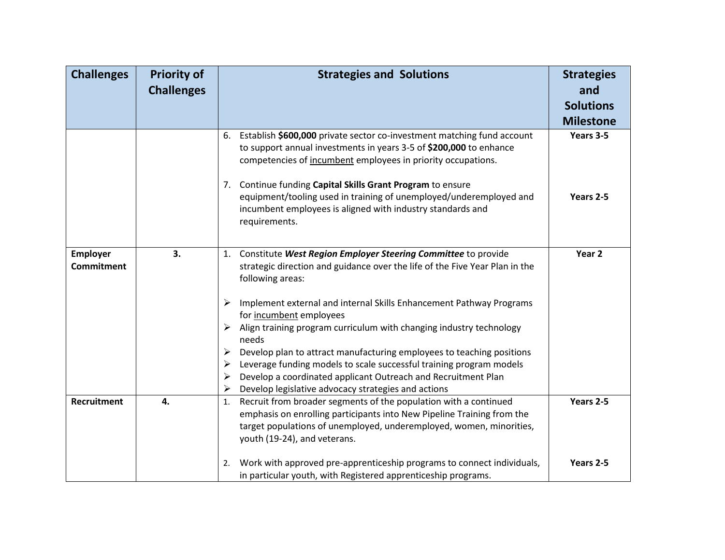| <b>Challenges</b><br><b>Priority of</b>    |                   | <b>Strategies and Solutions</b>                                                                                                                                                                                                                         | <b>Strategies</b> |  |
|--------------------------------------------|-------------------|---------------------------------------------------------------------------------------------------------------------------------------------------------------------------------------------------------------------------------------------------------|-------------------|--|
|                                            | <b>Challenges</b> |                                                                                                                                                                                                                                                         | and               |  |
|                                            |                   |                                                                                                                                                                                                                                                         | <b>Solutions</b>  |  |
|                                            |                   |                                                                                                                                                                                                                                                         | <b>Milestone</b>  |  |
|                                            |                   | Establish \$600,000 private sector co-investment matching fund account<br>6.<br>to support annual investments in years 3-5 of \$200,000 to enhance<br>competencies of incumbent employees in priority occupations.                                      | Years 3-5         |  |
|                                            |                   | 7. Continue funding Capital Skills Grant Program to ensure<br>equipment/tooling used in training of unemployed/underemployed and<br>incumbent employees is aligned with industry standards and<br>requirements.                                         | Years 2-5         |  |
| 3.<br><b>Employer</b><br><b>Commitment</b> |                   | 1. Constitute West Region Employer Steering Committee to provide<br>strategic direction and guidance over the life of the Five Year Plan in the<br>following areas:                                                                                     | Year <sub>2</sub> |  |
|                                            |                   | Implement external and internal Skills Enhancement Pathway Programs<br>➤<br>for incumbent employees                                                                                                                                                     |                   |  |
|                                            |                   | Align training program curriculum with changing industry technology<br>➤<br>needs                                                                                                                                                                       |                   |  |
|                                            |                   | Develop plan to attract manufacturing employees to teaching positions<br>➤                                                                                                                                                                              |                   |  |
|                                            |                   | Leverage funding models to scale successful training program models<br>➤                                                                                                                                                                                |                   |  |
|                                            |                   | Develop a coordinated applicant Outreach and Recruitment Plan<br>➤<br>Develop legislative advocacy strategies and actions<br>➤                                                                                                                          |                   |  |
| <b>Recruitment</b>                         | 4.                | Recruit from broader segments of the population with a continued<br>1.<br>emphasis on enrolling participants into New Pipeline Training from the<br>target populations of unemployed, underemployed, women, minorities,<br>youth (19-24), and veterans. | Years 2-5         |  |
|                                            |                   | Work with approved pre-apprenticeship programs to connect individuals,<br>2.<br>in particular youth, with Registered apprenticeship programs.                                                                                                           | Years 2-5         |  |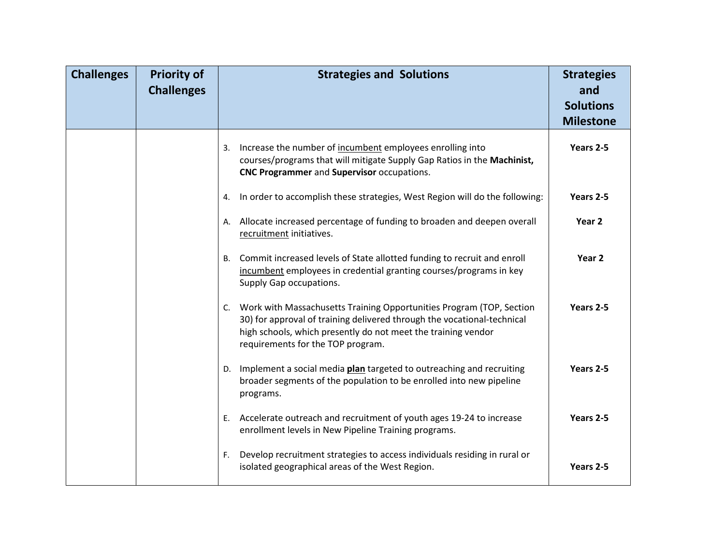| <b>Challenges</b> | <b>Priority of</b><br><b>Challenges</b> | <b>Strategies and Solutions</b>                                                                                                                                                                                                                          | <b>Strategies</b><br>and<br><b>Solutions</b><br><b>Milestone</b> |
|-------------------|-----------------------------------------|----------------------------------------------------------------------------------------------------------------------------------------------------------------------------------------------------------------------------------------------------------|------------------------------------------------------------------|
|                   |                                         | Increase the number of incumbent employees enrolling into<br>3.<br>courses/programs that will mitigate Supply Gap Ratios in the Machinist,<br>CNC Programmer and Supervisor occupations.                                                                 | Years 2-5                                                        |
|                   |                                         | In order to accomplish these strategies, West Region will do the following:<br>4.                                                                                                                                                                        | Years 2-5                                                        |
|                   |                                         | A. Allocate increased percentage of funding to broaden and deepen overall<br>recruitment initiatives.                                                                                                                                                    | Year <sub>2</sub>                                                |
|                   |                                         | B. Commit increased levels of State allotted funding to recruit and enroll<br>incumbent employees in credential granting courses/programs in key<br>Supply Gap occupations.                                                                              | Year <sub>2</sub>                                                |
|                   |                                         | C. Work with Massachusetts Training Opportunities Program (TOP, Section<br>30) for approval of training delivered through the vocational-technical<br>high schools, which presently do not meet the training vendor<br>requirements for the TOP program. | Years 2-5                                                        |
|                   |                                         | D. Implement a social media plan targeted to outreaching and recruiting<br>broader segments of the population to be enrolled into new pipeline<br>programs.                                                                                              | Years 2-5                                                        |
|                   |                                         | E. Accelerate outreach and recruitment of youth ages 19-24 to increase<br>enrollment levels in New Pipeline Training programs.                                                                                                                           | Years 2-5                                                        |
|                   |                                         | Develop recruitment strategies to access individuals residing in rural or<br>F.<br>isolated geographical areas of the West Region.                                                                                                                       | Years 2-5                                                        |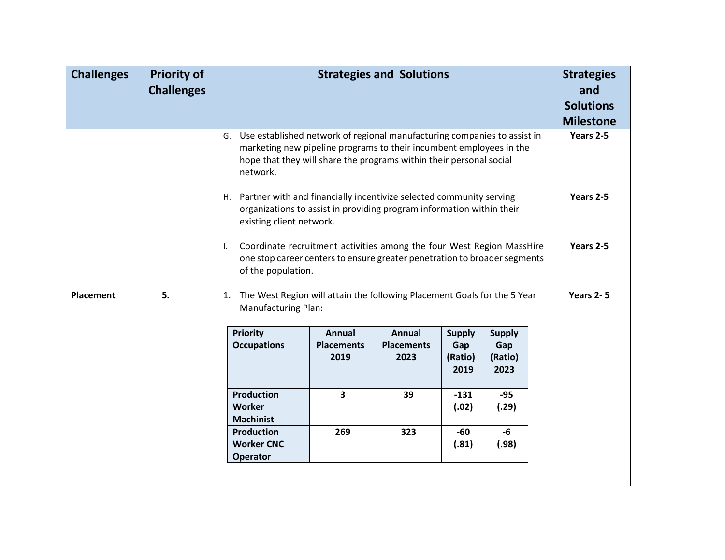| <b>Challenges</b> | <b>Priority of</b><br><b>Challenges</b> |                                                                                                              | <b>Strategies and Solutions</b>                                                                                                                                                                                           |                                            |                                         |                                         |  | <b>Strategies</b><br>and<br><b>Solutions</b><br><b>Milestone</b> |  |
|-------------------|-----------------------------------------|--------------------------------------------------------------------------------------------------------------|---------------------------------------------------------------------------------------------------------------------------------------------------------------------------------------------------------------------------|--------------------------------------------|-----------------------------------------|-----------------------------------------|--|------------------------------------------------------------------|--|
|                   |                                         | network.                                                                                                     | G. Use established network of regional manufacturing companies to assist in<br>marketing new pipeline programs to their incumbent employees in the<br>hope that they will share the programs within their personal social |                                            |                                         |                                         |  |                                                                  |  |
|                   |                                         |                                                                                                              | H. Partner with and financially incentivize selected community serving<br>organizations to assist in providing program information within their<br>existing client network.                                               |                                            |                                         |                                         |  |                                                                  |  |
|                   |                                         | I.                                                                                                           | Coordinate recruitment activities among the four West Region MassHire<br>one stop career centers to ensure greater penetration to broader segments<br>of the population.                                                  |                                            |                                         |                                         |  |                                                                  |  |
| <b>Placement</b>  | 5.                                      | The West Region will attain the following Placement Goals for the 5 Year<br>1.<br><b>Manufacturing Plan:</b> |                                                                                                                                                                                                                           |                                            |                                         |                                         |  | Years 2-5                                                        |  |
|                   |                                         | <b>Priority</b><br><b>Occupations</b>                                                                        | <b>Annual</b><br><b>Placements</b><br>2019                                                                                                                                                                                | <b>Annual</b><br><b>Placements</b><br>2023 | <b>Supply</b><br>Gap<br>(Ratio)<br>2019 | <b>Supply</b><br>Gap<br>(Ratio)<br>2023 |  |                                                                  |  |
|                   |                                         | <b>Production</b><br>3<br>39<br>$-131$<br>$-95$<br>Worker<br>(.02)<br>(.29)<br><b>Machinist</b>              |                                                                                                                                                                                                                           |                                            |                                         |                                         |  |                                                                  |  |
|                   |                                         | <b>Production</b><br><b>Worker CNC</b><br>Operator                                                           |                                                                                                                                                                                                                           |                                            |                                         |                                         |  |                                                                  |  |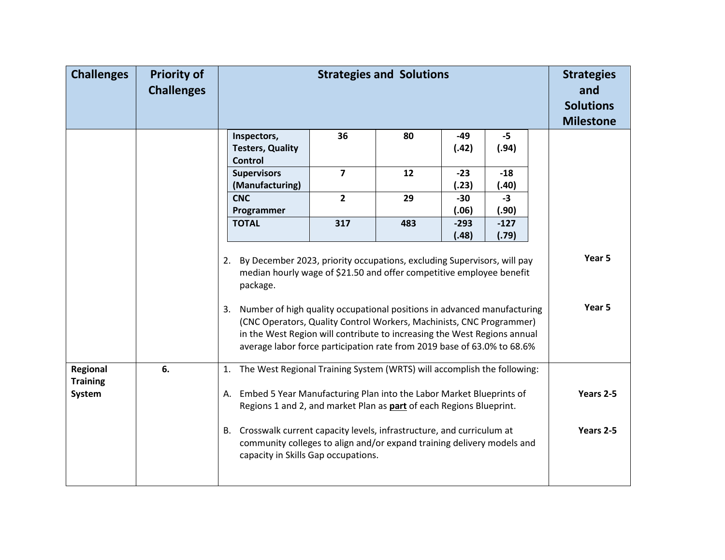| <b>Challenges</b>           | <b>Priority of</b><br><b>Challenges</b> | <b>Strategies and Solutions</b>                                                                                                                                                                                                                                                                           |                                                                                                                                               |     |                 |                 |  | <b>Strategies</b><br>and<br><b>Solutions</b><br><b>Milestone</b> |
|-----------------------------|-----------------------------------------|-----------------------------------------------------------------------------------------------------------------------------------------------------------------------------------------------------------------------------------------------------------------------------------------------------------|-----------------------------------------------------------------------------------------------------------------------------------------------|-----|-----------------|-----------------|--|------------------------------------------------------------------|
|                             |                                         | Inspectors,<br><b>Testers, Quality</b><br><b>Control</b>                                                                                                                                                                                                                                                  | 36                                                                                                                                            | 80  | $-49$<br>(.42)  | $-5$<br>(.94)   |  |                                                                  |
|                             |                                         | <b>Supervisors</b><br>(Manufacturing)                                                                                                                                                                                                                                                                     | $\overline{\mathbf{z}}$                                                                                                                       | 12  | $-23$<br>(.23)  | $-18$<br>(.40)  |  |                                                                  |
|                             |                                         | <b>CNC</b><br>Programmer                                                                                                                                                                                                                                                                                  | $\overline{2}$                                                                                                                                | 29  | $-30$<br>(.06)  | $-3$<br>(.90)   |  |                                                                  |
|                             |                                         | <b>TOTAL</b>                                                                                                                                                                                                                                                                                              | 317                                                                                                                                           | 483 | $-293$<br>(.48) | $-127$<br>(.79) |  |                                                                  |
|                             |                                         | By December 2023, priority occupations, excluding Supervisors, will pay<br>2.<br>median hourly wage of \$21.50 and offer competitive employee benefit<br>package.                                                                                                                                         |                                                                                                                                               |     |                 |                 |  | Year 5                                                           |
|                             |                                         | 3. Number of high quality occupational positions in advanced manufacturing<br>(CNC Operators, Quality Control Workers, Machinists, CNC Programmer)<br>in the West Region will contribute to increasing the West Regions annual<br>average labor force participation rate from 2019 base of 63.0% to 68.6% |                                                                                                                                               |     |                 |                 |  | Year 5                                                           |
| Regional<br><b>Training</b> | 6.                                      | The West Regional Training System (WRTS) will accomplish the following:<br>1.                                                                                                                                                                                                                             |                                                                                                                                               |     |                 |                 |  |                                                                  |
| System                      |                                         |                                                                                                                                                                                                                                                                                                           | A. Embed 5 Year Manufacturing Plan into the Labor Market Blueprints of<br>Regions 1 and 2, and market Plan as part of each Regions Blueprint. |     |                 |                 |  |                                                                  |
|                             |                                         | B. Crosswalk current capacity levels, infrastructure, and curriculum at<br>community colleges to align and/or expand training delivery models and<br>capacity in Skills Gap occupations.                                                                                                                  |                                                                                                                                               |     |                 |                 |  | Years 2-5                                                        |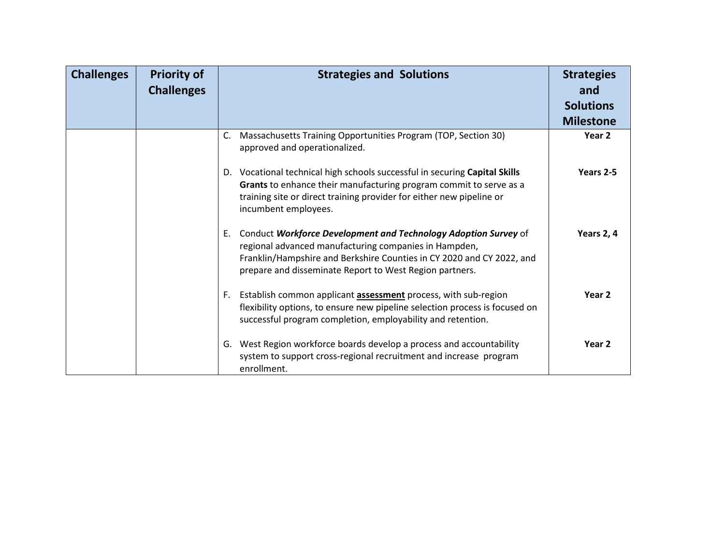| <b>Challenges</b> | <b>Priority of</b><br><b>Challenges</b> | <b>Strategies and Solutions</b>                                                                                                                                                                                                                                 | <b>Strategies</b><br>and<br><b>Solutions</b><br><b>Milestone</b> |
|-------------------|-----------------------------------------|-----------------------------------------------------------------------------------------------------------------------------------------------------------------------------------------------------------------------------------------------------------------|------------------------------------------------------------------|
|                   |                                         | Massachusetts Training Opportunities Program (TOP, Section 30)<br>C.<br>approved and operationalized.                                                                                                                                                           | Year <sub>2</sub>                                                |
|                   |                                         | D. Vocational technical high schools successful in securing Capital Skills<br>Grants to enhance their manufacturing program commit to serve as a<br>training site or direct training provider for either new pipeline or<br>incumbent employees.                | Years 2-5                                                        |
|                   |                                         | E. Conduct Workforce Development and Technology Adoption Survey of<br>regional advanced manufacturing companies in Hampden,<br>Franklin/Hampshire and Berkshire Counties in CY 2020 and CY 2022, and<br>prepare and disseminate Report to West Region partners. | Years 2, 4                                                       |
|                   |                                         | F. Establish common applicant <b>assessment</b> process, with sub-region<br>flexibility options, to ensure new pipeline selection process is focused on<br>successful program completion, employability and retention.                                          | Year <sub>2</sub>                                                |
|                   |                                         | G. West Region workforce boards develop a process and accountability<br>system to support cross-regional recruitment and increase program<br>enrollment.                                                                                                        | Year <sub>2</sub>                                                |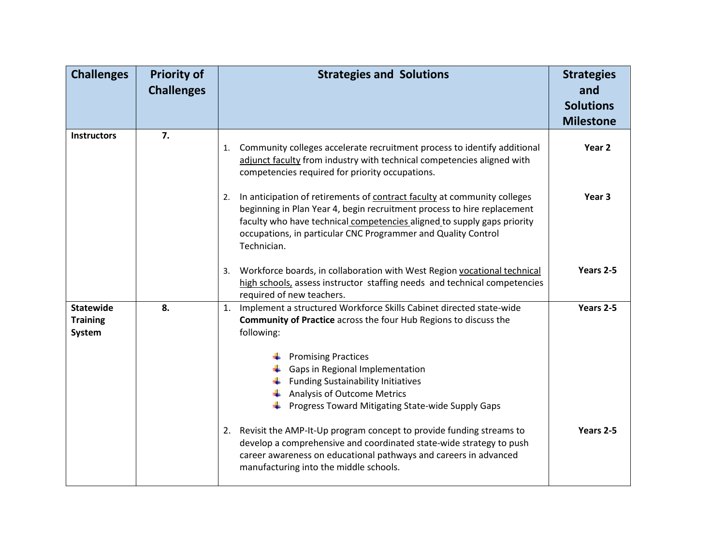| <b>Challenges</b>                             | <b>Priority of</b><br><b>Challenges</b> | <b>Strategies and Solutions</b>                                                                                                                                                                                                                                                                                                                                          | <b>Strategies</b><br>and<br><b>Solutions</b><br><b>Milestone</b> |
|-----------------------------------------------|-----------------------------------------|--------------------------------------------------------------------------------------------------------------------------------------------------------------------------------------------------------------------------------------------------------------------------------------------------------------------------------------------------------------------------|------------------------------------------------------------------|
| <b>Instructors</b>                            | 7.                                      | 1. Community colleges accelerate recruitment process to identify additional<br>adjunct faculty from industry with technical competencies aligned with<br>competencies required for priority occupations.                                                                                                                                                                 | Year 2                                                           |
|                                               |                                         | In anticipation of retirements of contract faculty at community colleges<br>2.<br>beginning in Plan Year 4, begin recruitment process to hire replacement<br>faculty who have technical competencies aligned to supply gaps priority<br>occupations, in particular CNC Programmer and Quality Control<br>Technician.                                                     | Year <sub>3</sub>                                                |
|                                               |                                         | 3. Workforce boards, in collaboration with West Region vocational technical<br>high schools, assess instructor staffing needs and technical competencies<br>required of new teachers.                                                                                                                                                                                    | Years 2-5                                                        |
| <b>Statewide</b><br><b>Training</b><br>System | 8.                                      | 1. Implement a structured Workforce Skills Cabinet directed state-wide<br><b>Community of Practice</b> across the four Hub Regions to discuss the<br>following:<br><b>Promising Practices</b><br>Gaps in Regional Implementation<br><b>Funding Sustainability Initiatives</b><br><b>Analysis of Outcome Metrics</b><br>Progress Toward Mitigating State-wide Supply Gaps | Years 2-5                                                        |
|                                               |                                         | 2. Revisit the AMP-It-Up program concept to provide funding streams to<br>develop a comprehensive and coordinated state-wide strategy to push<br>career awareness on educational pathways and careers in advanced<br>manufacturing into the middle schools.                                                                                                              | Years 2-5                                                        |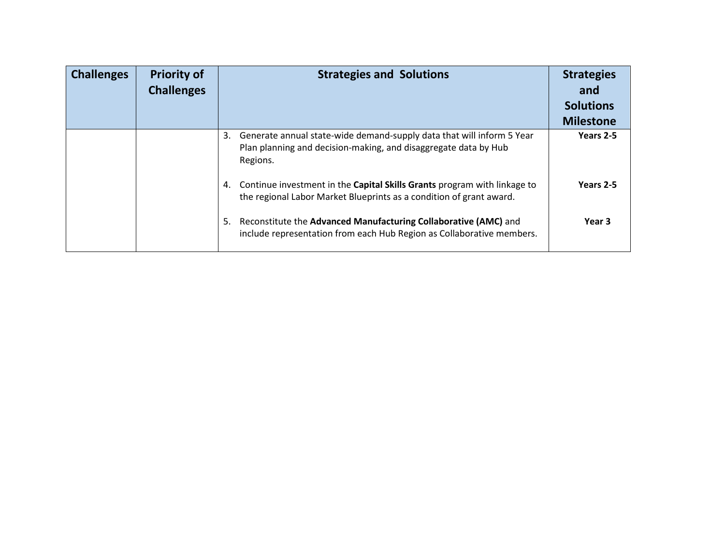| <b>Challenges</b> | <b>Priority of</b><br><b>Challenges</b> | <b>Strategies and Solutions</b>                                                                                                                            | <b>Strategies</b><br>and<br><b>Solutions</b><br><b>Milestone</b> |
|-------------------|-----------------------------------------|------------------------------------------------------------------------------------------------------------------------------------------------------------|------------------------------------------------------------------|
|                   |                                         | Generate annual state-wide demand-supply data that will inform 5 Year<br>3.<br>Plan planning and decision-making, and disaggregate data by Hub<br>Regions. | Years 2-5                                                        |
|                   |                                         | 4. Continue investment in the Capital Skills Grants program with linkage to<br>the regional Labor Market Blueprints as a condition of grant award.         | Years 2-5                                                        |
|                   |                                         | Reconstitute the Advanced Manufacturing Collaborative (AMC) and<br>5.<br>include representation from each Hub Region as Collaborative members.             | Year <sub>3</sub>                                                |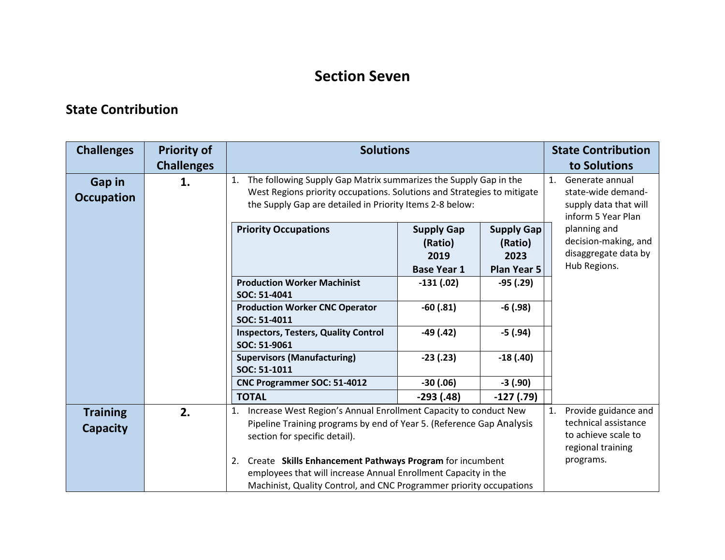### **Section Seven**

#### **State Contribution**

| <b>Challenges</b>           | <b>Priority of</b><br><b>Challenges</b> | <b>Solutions</b>                                                                                                                                                                                              |                                                                                                        |                                                            | <b>State Contribution</b><br>to Solutions                                    |
|-----------------------------|-----------------------------------------|---------------------------------------------------------------------------------------------------------------------------------------------------------------------------------------------------------------|--------------------------------------------------------------------------------------------------------|------------------------------------------------------------|------------------------------------------------------------------------------|
| Gap in<br><b>Occupation</b> | 1.                                      | The following Supply Gap Matrix summarizes the Supply Gap in the<br>1.<br>West Regions priority occupations. Solutions and Strategies to mitigate<br>the Supply Gap are detailed in Priority Items 2-8 below: | 1 <sup>1</sup><br>Generate annual<br>state-wide demand-<br>supply data that will<br>inform 5 Year Plan |                                                            |                                                                              |
|                             |                                         | <b>Priority Occupations</b>                                                                                                                                                                                   | <b>Supply Gap</b><br>(Ratio)<br>2019<br><b>Base Year 1</b>                                             | <b>Supply Gap</b><br>(Ratio)<br>2023<br><b>Plan Year 5</b> | planning and<br>decision-making, and<br>disaggregate data by<br>Hub Regions. |
|                             |                                         | <b>Production Worker Machinist</b><br>SOC: 51-4041                                                                                                                                                            | $-131(02)$                                                                                             | $-95(0.29)$                                                |                                                                              |
|                             |                                         | <b>Production Worker CNC Operator</b><br>SOC: 51-4011                                                                                                                                                         | $-60(0.81)$                                                                                            | $-6(0.98)$                                                 |                                                                              |
|                             |                                         | <b>Inspectors, Testers, Quality Control</b><br>SOC: 51-9061                                                                                                                                                   | $-49(0.42)$                                                                                            | $-5(0.94)$                                                 |                                                                              |
|                             |                                         | <b>Supervisors (Manufacturing)</b><br>SOC: 51-1011                                                                                                                                                            | $-23(0.23)$                                                                                            | $-18(0.40)$                                                |                                                                              |
|                             |                                         | CNC Programmer SOC: 51-4012                                                                                                                                                                                   | $-30(0.06)$                                                                                            | $-3(0.90)$                                                 |                                                                              |
|                             | 2.                                      | <b>TOTAL</b><br>Increase West Region's Annual Enrollment Capacity to conduct New                                                                                                                              | $-293(0.48)$                                                                                           | $-127(0.79)$                                               | Provide guidance and<br>1.                                                   |
| <b>Training</b><br>Capacity |                                         | Pipeline Training programs by end of Year 5. (Reference Gap Analysis<br>section for specific detail).                                                                                                         | technical assistance<br>to achieve scale to<br>regional training                                       |                                                            |                                                                              |
|                             |                                         | 2. Create Skills Enhancement Pathways Program for incumbent<br>employees that will increase Annual Enrollment Capacity in the<br>Machinist, Quality Control, and CNC Programmer priority occupations          |                                                                                                        |                                                            | programs.                                                                    |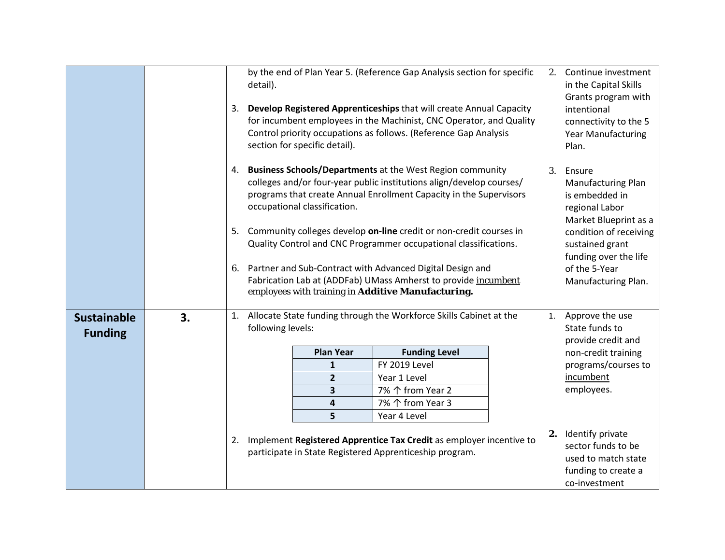|                                      |    |    | detail).          | by the end of Plan Year 5. (Reference Gap Analysis section for specific<br>3. Develop Registered Apprenticeships that will create Annual Capacity<br>for incumbent employees in the Machinist, CNC Operator, and Quality<br>Control priority occupations as follows. (Reference Gap Analysis<br>section for specific detail). | 2.                                                                                                                                                                                | Continue investment<br>in the Capital Skills<br>Grants program with<br>intentional<br>connectivity to the 5<br>Year Manufacturing<br>Plan. |    |                                                                                                          |  |
|--------------------------------------|----|----|-------------------|-------------------------------------------------------------------------------------------------------------------------------------------------------------------------------------------------------------------------------------------------------------------------------------------------------------------------------|-----------------------------------------------------------------------------------------------------------------------------------------------------------------------------------|--------------------------------------------------------------------------------------------------------------------------------------------|----|----------------------------------------------------------------------------------------------------------|--|
|                                      |    |    |                   | 4. Business Schools/Departments at the West Region community<br>colleges and/or four-year public institutions align/develop courses/<br>programs that create Annual Enrollment Capacity in the Supervisors<br>occupational classification.<br>5. Community colleges develop on-line credit or non-credit courses in           | 3.                                                                                                                                                                                | Ensure<br><b>Manufacturing Plan</b><br>is embedded in<br>regional Labor<br>Market Blueprint as a<br>condition of receiving                 |    |                                                                                                          |  |
|                                      |    |    |                   |                                                                                                                                                                                                                                                                                                                               | Quality Control and CNC Programmer occupational classifications.                                                                                                                  |                                                                                                                                            |    | sustained grant<br>funding over the life                                                                 |  |
|                                      |    | 6. |                   |                                                                                                                                                                                                                                                                                                                               | Partner and Sub-Contract with Advanced Digital Design and<br>Fabrication Lab at (ADDFab) UMass Amherst to provide incumbent<br>employees with training in Additive Manufacturing. |                                                                                                                                            |    | of the 5-Year<br>Manufacturing Plan.                                                                     |  |
| <b>Sustainable</b><br><b>Funding</b> | 3. | 1. | following levels: |                                                                                                                                                                                                                                                                                                                               | Allocate State funding through the Workforce Skills Cabinet at the                                                                                                                |                                                                                                                                            | 1. | Approve the use<br>State funds to                                                                        |  |
|                                      |    |    |                   | <b>Plan Year</b>                                                                                                                                                                                                                                                                                                              | <b>Funding Level</b>                                                                                                                                                              |                                                                                                                                            |    | provide credit and<br>non-credit training                                                                |  |
|                                      |    |    |                   | 1                                                                                                                                                                                                                                                                                                                             | FY 2019 Level                                                                                                                                                                     |                                                                                                                                            |    | programs/courses to                                                                                      |  |
|                                      |    |    |                   | $\overline{2}$                                                                                                                                                                                                                                                                                                                | Year 1 Level                                                                                                                                                                      |                                                                                                                                            |    | incumbent                                                                                                |  |
|                                      |    |    |                   | 3                                                                                                                                                                                                                                                                                                                             | 7% 个 from Year 2                                                                                                                                                                  |                                                                                                                                            |    | employees.                                                                                               |  |
|                                      |    |    |                   | 4                                                                                                                                                                                                                                                                                                                             | 7% 个 from Year 3                                                                                                                                                                  |                                                                                                                                            |    |                                                                                                          |  |
|                                      |    |    |                   | 5                                                                                                                                                                                                                                                                                                                             | Year 4 Level                                                                                                                                                                      |                                                                                                                                            |    |                                                                                                          |  |
|                                      |    | 2. |                   |                                                                                                                                                                                                                                                                                                                               | Implement Registered Apprentice Tax Credit as employer incentive to<br>participate in State Registered Apprenticeship program.                                                    |                                                                                                                                            |    | 2. Identify private<br>sector funds to be<br>used to match state<br>funding to create a<br>co-investment |  |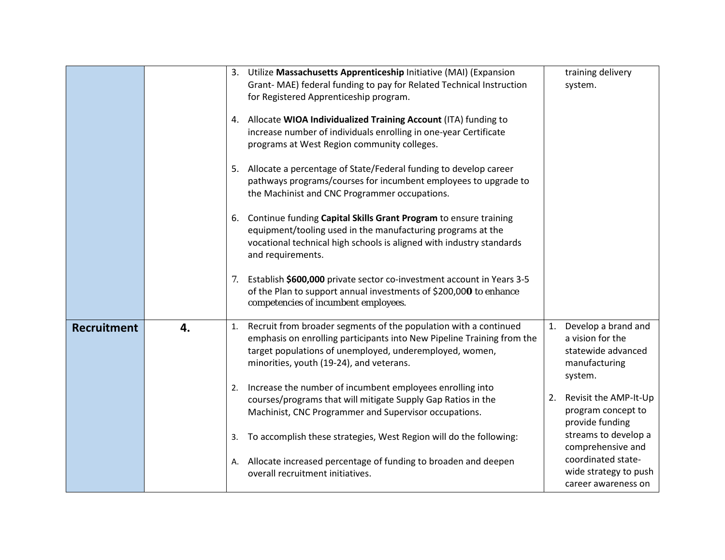|                    |    |    | 3. Utilize Massachusetts Apprenticeship Initiative (MAI) (Expansion<br>Grant- MAE) federal funding to pay for Related Technical Instruction<br>for Registered Apprenticeship program.                                                             |    | training delivery<br>system.                                                              |
|--------------------|----|----|---------------------------------------------------------------------------------------------------------------------------------------------------------------------------------------------------------------------------------------------------|----|-------------------------------------------------------------------------------------------|
|                    |    |    | 4. Allocate WIOA Individualized Training Account (ITA) funding to<br>increase number of individuals enrolling in one-year Certificate<br>programs at West Region community colleges.                                                              |    |                                                                                           |
|                    |    |    | 5. Allocate a percentage of State/Federal funding to develop career<br>pathways programs/courses for incumbent employees to upgrade to<br>the Machinist and CNC Programmer occupations.                                                           |    |                                                                                           |
|                    |    |    | 6. Continue funding Capital Skills Grant Program to ensure training<br>equipment/tooling used in the manufacturing programs at the<br>vocational technical high schools is aligned with industry standards<br>and requirements.                   |    |                                                                                           |
|                    |    | 7. | Establish \$600,000 private sector co-investment account in Years 3-5<br>of the Plan to support annual investments of \$200,000 to enhance<br>competencies of incumbent employees.                                                                |    |                                                                                           |
| <b>Recruitment</b> | 4. | 1. | Recruit from broader segments of the population with a continued<br>emphasis on enrolling participants into New Pipeline Training from the<br>target populations of unemployed, underemployed, women,<br>minorities, youth (19-24), and veterans. | 1. | Develop a brand and<br>a vision for the<br>statewide advanced<br>manufacturing<br>system. |
|                    |    | 2. | Increase the number of incumbent employees enrolling into<br>courses/programs that will mitigate Supply Gap Ratios in the<br>Machinist, CNC Programmer and Supervisor occupations.                                                                | 2. | Revisit the AMP-It-Up<br>program concept to<br>provide funding                            |
|                    |    | 3. | To accomplish these strategies, West Region will do the following:                                                                                                                                                                                |    | streams to develop a<br>comprehensive and                                                 |
|                    |    | А. | Allocate increased percentage of funding to broaden and deepen<br>overall recruitment initiatives.                                                                                                                                                |    | coordinated state-<br>wide strategy to push<br>career awareness on                        |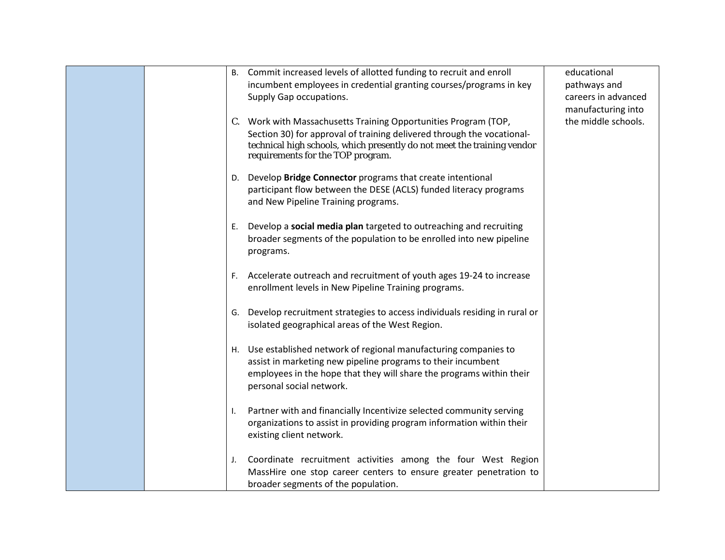|    | B. Commit increased levels of allotted funding to recruit and enroll<br>incumbent employees in credential granting courses/programs in key<br>Supply Gap occupations.                                                                                     | educational<br>pathways and<br>careers in advanced |
|----|-----------------------------------------------------------------------------------------------------------------------------------------------------------------------------------------------------------------------------------------------------------|----------------------------------------------------|
|    | C. Work with Massachusetts Training Opportunities Program (TOP,<br>Section 30) for approval of training delivered through the vocational-<br>technical high schools, which presently do not meet the training vendor<br>requirements for the TOP program. | manufacturing into<br>the middle schools.          |
|    | D. Develop Bridge Connector programs that create intentional<br>participant flow between the DESE (ACLS) funded literacy programs<br>and New Pipeline Training programs.                                                                                  |                                                    |
| Е. | Develop a social media plan targeted to outreaching and recruiting<br>broader segments of the population to be enrolled into new pipeline<br>programs.                                                                                                    |                                                    |
|    | F. Accelerate outreach and recruitment of youth ages 19-24 to increase<br>enrollment levels in New Pipeline Training programs.                                                                                                                            |                                                    |
|    | G. Develop recruitment strategies to access individuals residing in rural or<br>isolated geographical areas of the West Region.                                                                                                                           |                                                    |
|    | H. Use established network of regional manufacturing companies to<br>assist in marketing new pipeline programs to their incumbent<br>employees in the hope that they will share the programs within their<br>personal social network.                     |                                                    |
| I. | Partner with and financially Incentivize selected community serving<br>organizations to assist in providing program information within their<br>existing client network.                                                                                  |                                                    |
| J. | Coordinate recruitment activities among the four West Region<br>MassHire one stop career centers to ensure greater penetration to<br>broader segments of the population.                                                                                  |                                                    |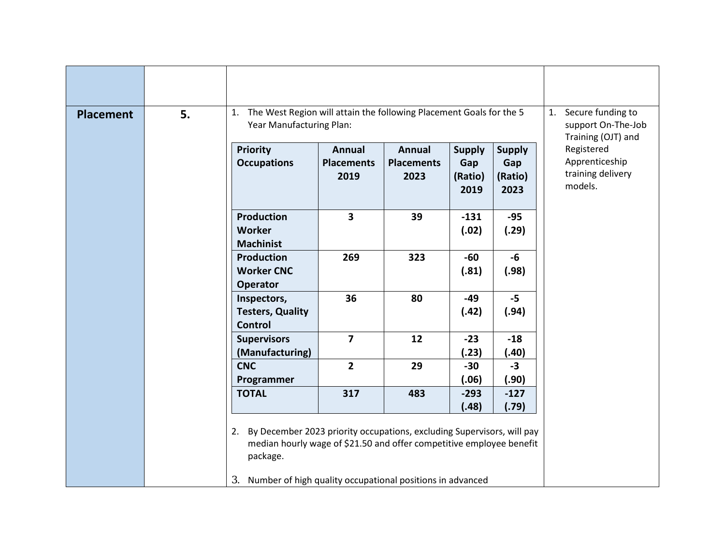| <b>Placement</b> | 5. | 1. The West Region will attain the following Placement Goals for the 5<br>Year Manufacturing Plan:                                                                                                                               | Secure funding to<br>1.<br>support On-The-Job<br>Training (OJT) and |                                            |                                         |                                         |                                                              |  |  |  |  |
|------------------|----|----------------------------------------------------------------------------------------------------------------------------------------------------------------------------------------------------------------------------------|---------------------------------------------------------------------|--------------------------------------------|-----------------------------------------|-----------------------------------------|--------------------------------------------------------------|--|--|--|--|
|                  |    | Priority<br><b>Occupations</b>                                                                                                                                                                                                   | <b>Annual</b><br><b>Placements</b><br>2019                          | <b>Annual</b><br><b>Placements</b><br>2023 | <b>Supply</b><br>Gap<br>(Ratio)<br>2019 | <b>Supply</b><br>Gap<br>(Ratio)<br>2023 | Registered<br>Apprenticeship<br>training delivery<br>models. |  |  |  |  |
|                  |    | <b>Production</b><br><b>Worker</b><br><b>Machinist</b>                                                                                                                                                                           | $\overline{\mathbf{3}}$                                             | 39                                         | $-131$<br>(.02)                         | $-95$<br>(.29)                          |                                                              |  |  |  |  |
|                  |    | <b>Production</b><br><b>Worker CNC</b><br><b>Operator</b>                                                                                                                                                                        | 269                                                                 | 323                                        | $-60$<br>(.81)                          | $-6$<br>(.98)                           |                                                              |  |  |  |  |
|                  |    | Inspectors,<br><b>Testers, Quality</b><br><b>Control</b>                                                                                                                                                                         | 36                                                                  | 80                                         | $-49$<br>(.42)                          | $-5$<br>(.94)                           |                                                              |  |  |  |  |
|                  |    | <b>Supervisors</b><br>(Manufacturing)                                                                                                                                                                                            | $\overline{7}$                                                      | 12                                         | $-23$<br>(.23)                          | $-18$<br>(.40)                          |                                                              |  |  |  |  |
|                  |    | <b>CNC</b><br>Programmer                                                                                                                                                                                                         | $\overline{2}$                                                      | 29                                         | $-30$<br>(.06)                          | $-3$<br>(.90)                           |                                                              |  |  |  |  |
|                  |    | <b>TOTAL</b>                                                                                                                                                                                                                     | 317                                                                 | 483                                        | $-293$<br>(.48)                         | $-127$<br>(.79)                         |                                                              |  |  |  |  |
|                  |    | By December 2023 priority occupations, excluding Supervisors, will pay<br>2.<br>median hourly wage of \$21.50 and offer competitive employee benefit<br>package.<br>3. Number of high quality occupational positions in advanced |                                                                     |                                            |                                         |                                         |                                                              |  |  |  |  |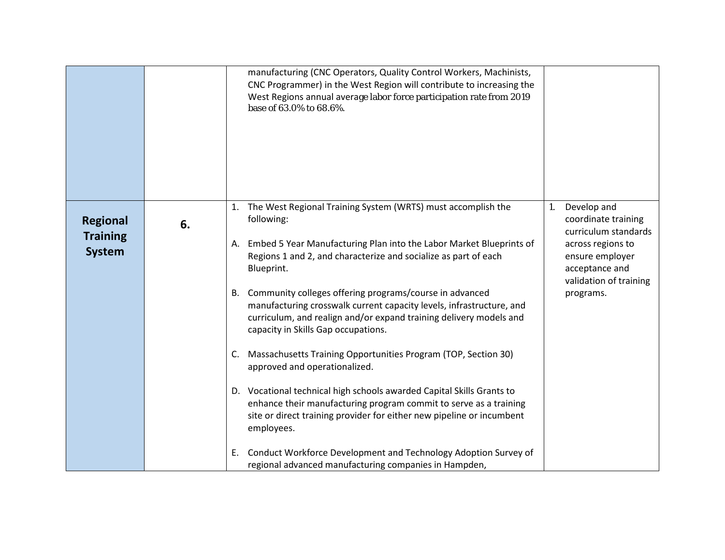|                                                     |    | manufacturing (CNC Operators, Quality Control Workers, Machinists,<br>CNC Programmer) in the West Region will contribute to increasing the<br>West Regions annual average labor force participation rate from 2019<br>base of 63.0% to 68.6%.                                                                                                                                                                                                                                                     |                                                                                                                                                                   |
|-----------------------------------------------------|----|---------------------------------------------------------------------------------------------------------------------------------------------------------------------------------------------------------------------------------------------------------------------------------------------------------------------------------------------------------------------------------------------------------------------------------------------------------------------------------------------------|-------------------------------------------------------------------------------------------------------------------------------------------------------------------|
| <b>Regional</b><br><b>Training</b><br><b>System</b> | 6. | The West Regional Training System (WRTS) must accomplish the<br>1.<br>following:<br>Embed 5 Year Manufacturing Plan into the Labor Market Blueprints of<br>А.<br>Regions 1 and 2, and characterize and socialize as part of each<br>Blueprint.<br>B. Community colleges offering programs/course in advanced<br>manufacturing crosswalk current capacity levels, infrastructure, and<br>curriculum, and realign and/or expand training delivery models and<br>capacity in Skills Gap occupations. | Develop and<br>1.<br>coordinate training<br>curriculum standards<br>across regions to<br>ensure employer<br>acceptance and<br>validation of training<br>programs. |
|                                                     |    | C. Massachusetts Training Opportunities Program (TOP, Section 30)<br>approved and operationalized.<br>D. Vocational technical high schools awarded Capital Skills Grants to<br>enhance their manufacturing program commit to serve as a training<br>site or direct training provider for either new pipeline or incumbent<br>employees.                                                                                                                                                           |                                                                                                                                                                   |
|                                                     |    | Conduct Workforce Development and Technology Adoption Survey of<br>Е.<br>regional advanced manufacturing companies in Hampden,                                                                                                                                                                                                                                                                                                                                                                    |                                                                                                                                                                   |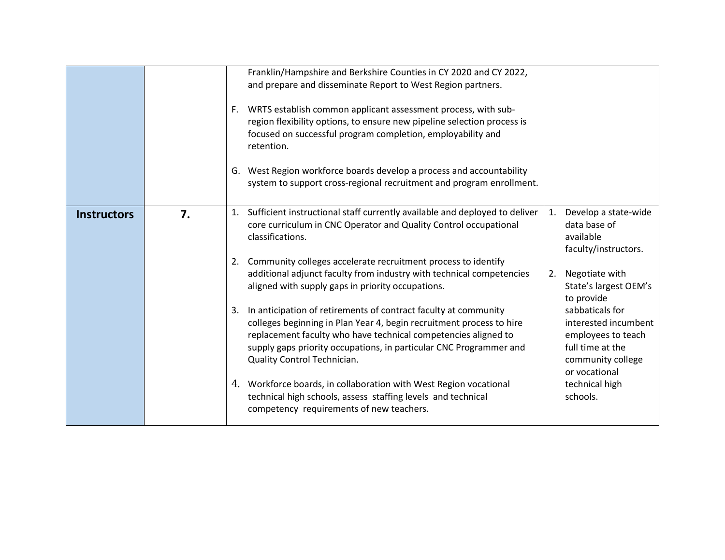|                    |    | F. | Franklin/Hampshire and Berkshire Counties in CY 2020 and CY 2022,<br>and prepare and disseminate Report to West Region partners.<br>WRTS establish common applicant assessment process, with sub-<br>region flexibility options, to ensure new pipeline selection process is<br>focused on successful program completion, employability and<br>retention.<br>G. West Region workforce boards develop a process and accountability<br>system to support cross-regional recruitment and program enrollment. |    |                                                                                                                         |
|--------------------|----|----|-----------------------------------------------------------------------------------------------------------------------------------------------------------------------------------------------------------------------------------------------------------------------------------------------------------------------------------------------------------------------------------------------------------------------------------------------------------------------------------------------------------|----|-------------------------------------------------------------------------------------------------------------------------|
| <b>Instructors</b> | 7. |    | 1. Sufficient instructional staff currently available and deployed to deliver<br>core curriculum in CNC Operator and Quality Control occupational<br>classifications.<br>2. Community colleges accelerate recruitment process to identify                                                                                                                                                                                                                                                                 | 1. | Develop a state-wide<br>data base of<br>available<br>faculty/instructors.                                               |
|                    |    |    | additional adjunct faculty from industry with technical competencies<br>aligned with supply gaps in priority occupations.                                                                                                                                                                                                                                                                                                                                                                                 | 2. | Negotiate with<br>State's largest OEM's<br>to provide                                                                   |
|                    |    | 3. | In anticipation of retirements of contract faculty at community<br>colleges beginning in Plan Year 4, begin recruitment process to hire<br>replacement faculty who have technical competencies aligned to<br>supply gaps priority occupations, in particular CNC Programmer and<br>Quality Control Technician.                                                                                                                                                                                            |    | sabbaticals for<br>interested incumbent<br>employees to teach<br>full time at the<br>community college<br>or vocational |
|                    |    |    | 4. Workforce boards, in collaboration with West Region vocational<br>technical high schools, assess staffing levels and technical<br>competency requirements of new teachers.                                                                                                                                                                                                                                                                                                                             |    | technical high<br>schools.                                                                                              |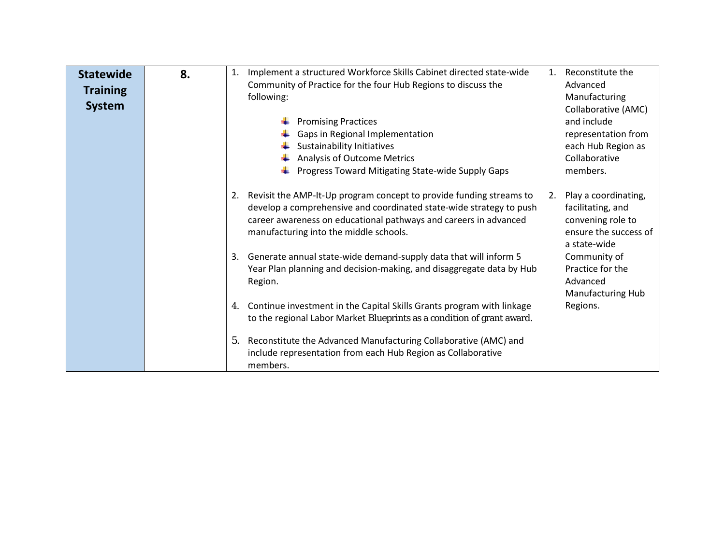| <b>Statewide</b><br><b>Training</b><br><b>System</b> | 8. | Implement a structured Workforce Skills Cabinet directed state-wide<br>1.<br>Community of Practice for the four Hub Regions to discuss the<br>following:                                                                                                       | Reconstitute the<br>1.<br>Advanced<br>Manufacturing<br>Collaborative (AMC)                                    |
|------------------------------------------------------|----|----------------------------------------------------------------------------------------------------------------------------------------------------------------------------------------------------------------------------------------------------------------|---------------------------------------------------------------------------------------------------------------|
|                                                      |    | <b>Promising Practices</b><br>Gaps in Regional Implementation<br>Sustainability Initiatives<br><b>Analysis of Outcome Metrics</b><br>Progress Toward Mitigating State-wide Supply Gaps                                                                         | and include<br>representation from<br>each Hub Region as<br>Collaborative<br>members.                         |
|                                                      |    | Revisit the AMP-It-Up program concept to provide funding streams to<br>2.<br>develop a comprehensive and coordinated state-wide strategy to push<br>career awareness on educational pathways and careers in advanced<br>manufacturing into the middle schools. | Play a coordinating,<br>2.<br>facilitating, and<br>convening role to<br>ensure the success of<br>a state-wide |
|                                                      |    | Generate annual state-wide demand-supply data that will inform 5<br>3.<br>Year Plan planning and decision-making, and disaggregate data by Hub<br>Region.                                                                                                      | Community of<br>Practice for the<br>Advanced<br><b>Manufacturing Hub</b>                                      |
|                                                      |    | Continue investment in the Capital Skills Grants program with linkage<br>4.<br>to the regional Labor Market Blueprints as a condition of grant award.                                                                                                          | Regions.                                                                                                      |
|                                                      |    | Reconstitute the Advanced Manufacturing Collaborative (AMC) and<br>5.<br>include representation from each Hub Region as Collaborative<br>members.                                                                                                              |                                                                                                               |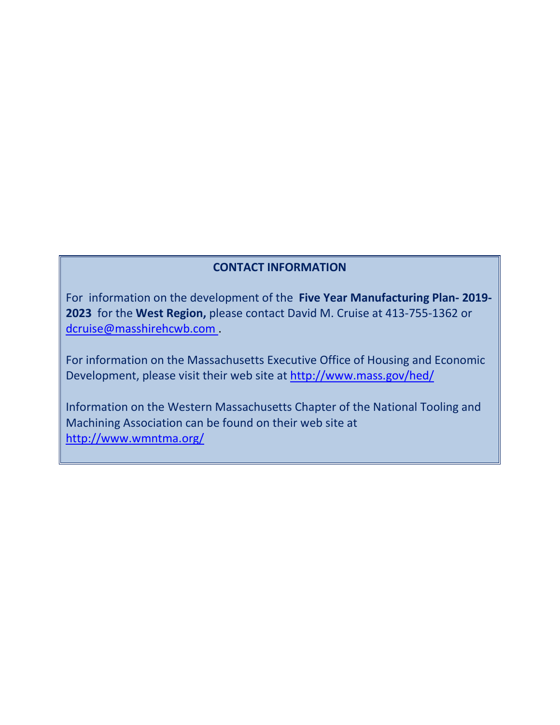#### **CONTACT INFORMATION**

For information on the development of the **Five Year Manufacturing Plan- 2019- 2023** for the **West Region,** please contact David M. Cruise at 413-755-1362 or [dcruise@masshirehcwb.com](mailto:dcruise@masshirehcwb.com) .

For information on the Massachusetts Executive Office of Housing and Economic Development, please visit their web site at <http://www.mass.gov/hed/>

Information on the Western Massachusetts Chapter of the National Tooling and Machining Association can be found on their web site at <http://www.wmntma.org/>